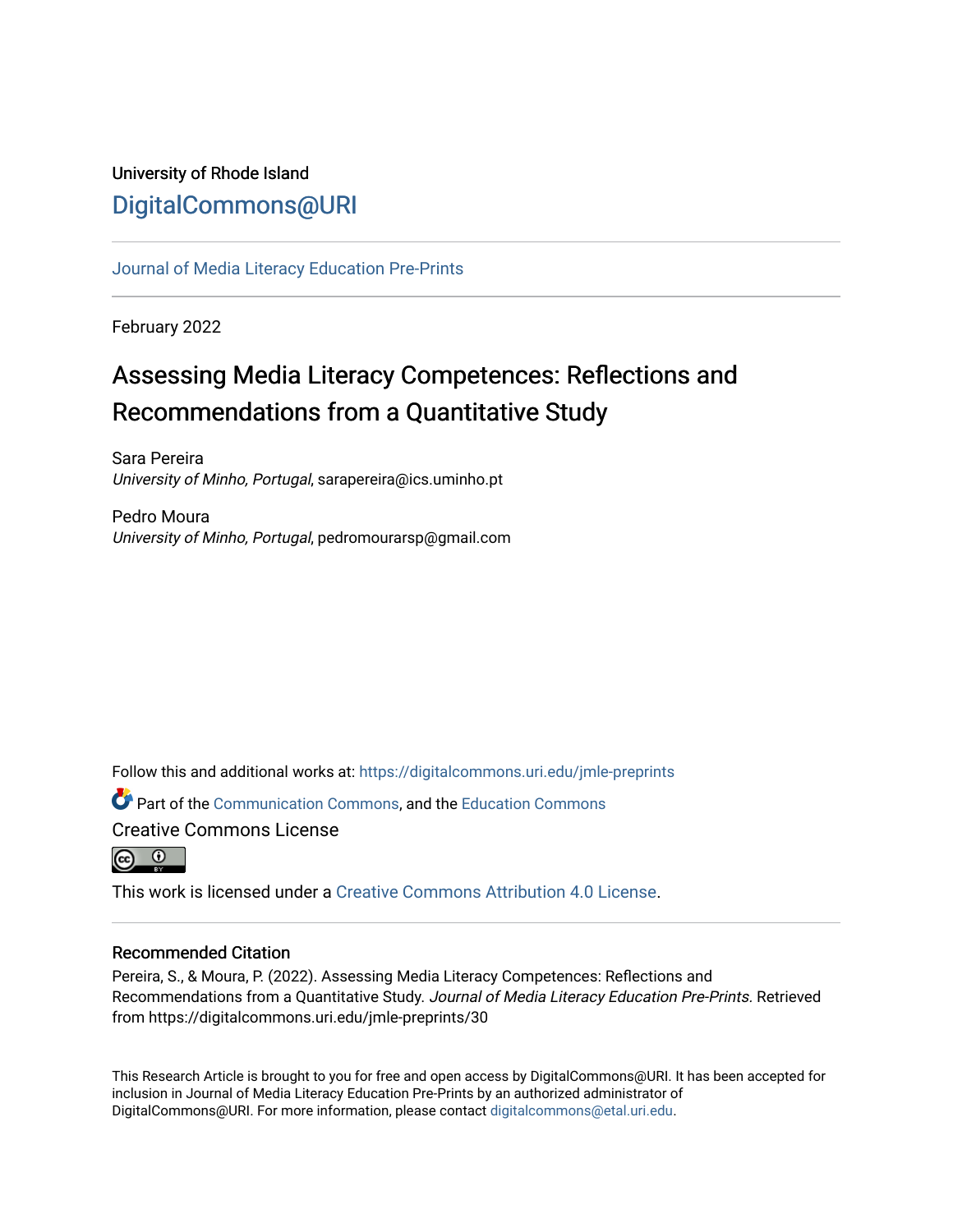## University of Rhode Island [DigitalCommons@URI](https://digitalcommons.uri.edu/)

[Journal of Media Literacy Education Pre-Prints](https://digitalcommons.uri.edu/jmle-preprints)

February 2022

# Assessing Media Literacy Competences: Reflections and Recommendations from a Quantitative Study

Sara Pereira University of Minho, Portugal, sarapereira@ics.uminho.pt

Pedro Moura University of Minho, Portugal, pedromourarsp@gmail.com

Follow this and additional works at: [https://digitalcommons.uri.edu/jmle-preprints](https://digitalcommons.uri.edu/jmle-preprints?utm_source=digitalcommons.uri.edu%2Fjmle-preprints%2F30&utm_medium=PDF&utm_campaign=PDFCoverPages) 

**C**<sup> $\bullet$ </sup> Part of the [Communication Commons,](http://network.bepress.com/hgg/discipline/325?utm_source=digitalcommons.uri.edu%2Fjmle-preprints%2F30&utm_medium=PDF&utm_campaign=PDFCoverPages) and the Education Commons Creative Commons License



This work is licensed under a [Creative Commons Attribution 4.0 License](https://creativecommons.org/licenses/by/4.0/).

## Recommended Citation

Pereira, S., & Moura, P. (2022). Assessing Media Literacy Competences: Reflections and Recommendations from a Quantitative Study. Journal of Media Literacy Education Pre-Prints. Retrieved from https://digitalcommons.uri.edu/jmle-preprints/30

This Research Article is brought to you for free and open access by DigitalCommons@URI. It has been accepted for inclusion in Journal of Media Literacy Education Pre-Prints by an authorized administrator of DigitalCommons@URI. For more information, please contact [digitalcommons@etal.uri.edu.](mailto:digitalcommons@etal.uri.edu)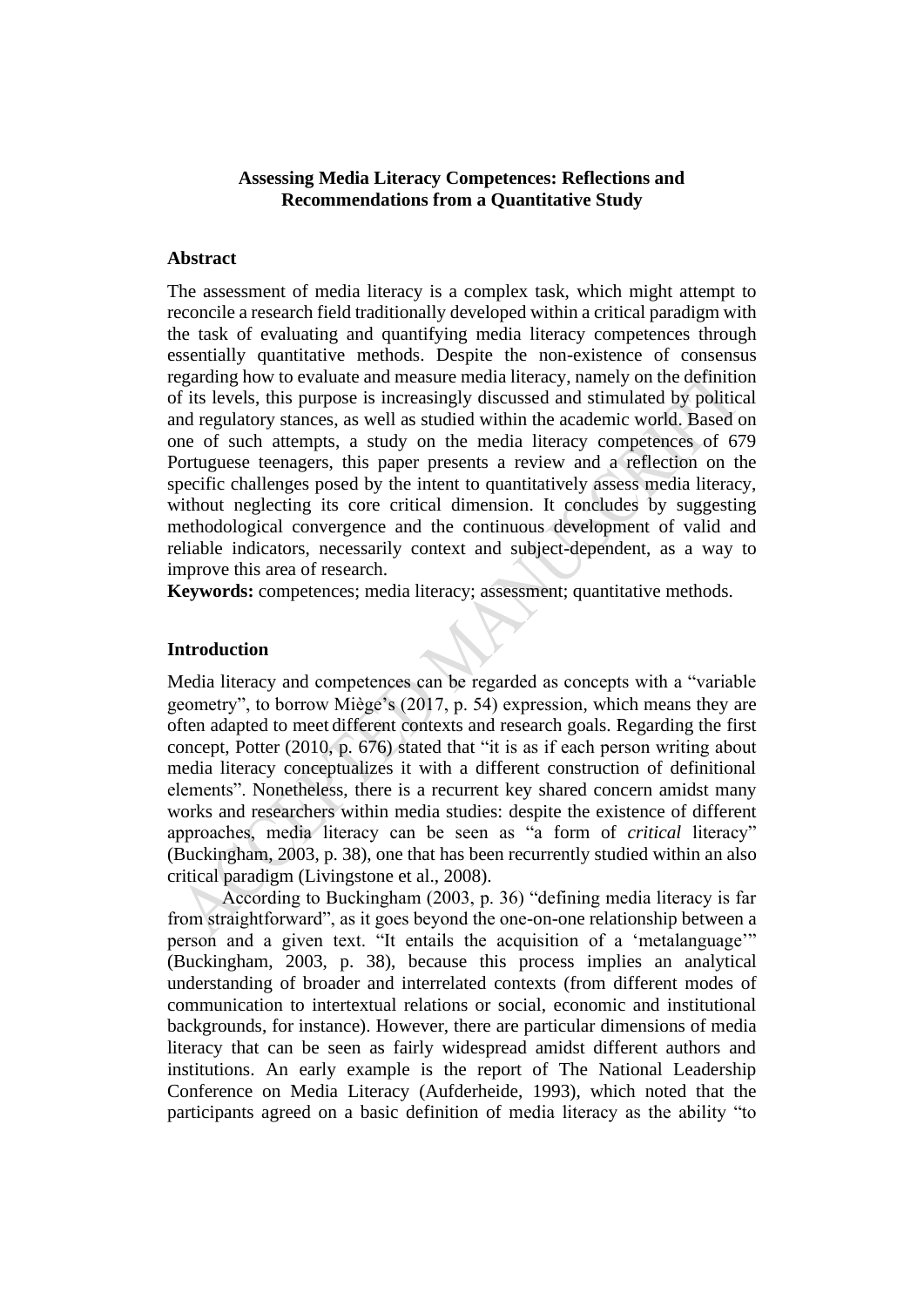## **Assessing Media Literacy Competences: Reflections and Recommendations from a Quantitative Study**

#### **Abstract**

The assessment of media literacy is a complex task, which might attempt to reconcile a research field traditionally developed within a critical paradigm with the task of evaluating and quantifying media literacy competences through essentially quantitative methods. Despite the non-existence of consensus regarding how to evaluate and measure media literacy, namely on the definition of its levels, this purpose is increasingly discussed and stimulated by political and regulatory stances, as well as studied within the academic world. Based on one of such attempts, a study on the media literacy competences of 679 Portuguese teenagers, this paper presents a review and a reflection on the specific challenges posed by the intent to quantitatively assess media literacy, without neglecting its core critical dimension. It concludes by suggesting methodological convergence and the continuous development of valid and reliable indicators, necessarily context and subject-dependent, as a way to improve this area of research.

**Keywords:** competences; media literacy; assessment; quantitative methods.

## **Introduction**

Media literacy and competences can be regarded as concepts with a "variable geometry", to borrow Miège's (2017, p. 54) expression, which means they are often adapted to meet different contexts and research goals. Regarding the first concept, Potter (2010, p. 676) stated that "it is as if each person writing about media literacy conceptualizes it with a different construction of definitional elements". Nonetheless, there is a recurrent key shared concern amidst many works and researchers within media studies: despite the existence of different approaches, media literacy can be seen as "a form of *critical* literacy" (Buckingham, 2003, p. 38), one that has been recurrently studied within an also critical paradigm (Livingstone et al., 2008).

According to Buckingham (2003, p. 36) "defining media literacy is far from straightforward", as it goes beyond the one-on-one relationship between a person and a given text. "It entails the acquisition of a 'metalanguage'" (Buckingham, 2003, p. 38), because this process implies an analytical understanding of broader and interrelated contexts (from different modes of communication to intertextual relations or social, economic and institutional backgrounds, for instance). However, there are particular dimensions of media literacy that can be seen as fairly widespread amidst different authors and institutions. An early example is the report of The National Leadership Conference on Media Literacy (Aufderheide, 1993), which noted that the participants agreed on a basic definition of media literacy as the ability "to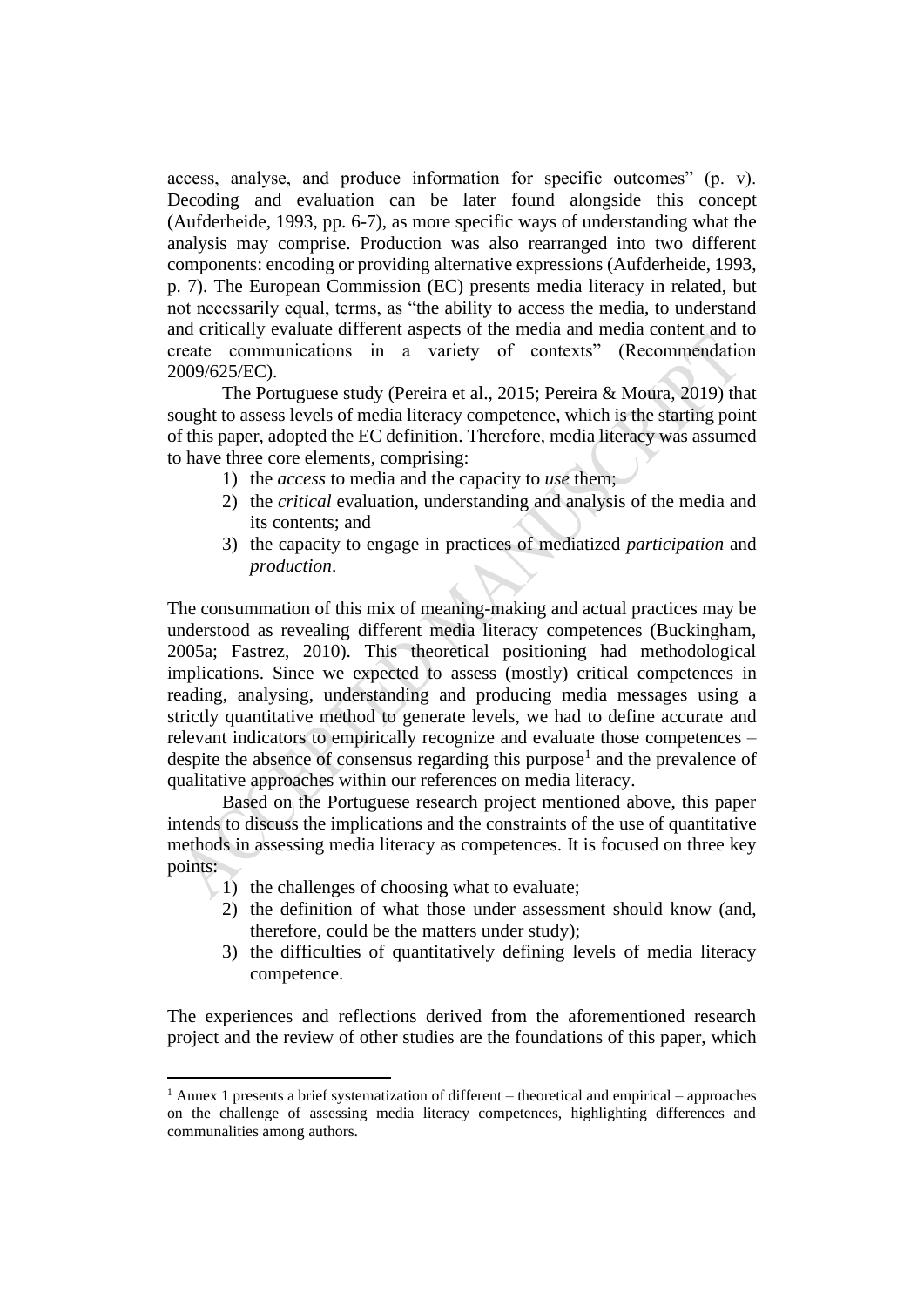access, analyse, and produce information for specific outcomes" (p. v). Decoding and evaluation can be later found alongside this concept (Aufderheide, 1993, pp. 6-7), as more specific ways of understanding what the analysis may comprise. Production was also rearranged into two different components: encoding or providing alternative expressions (Aufderheide, 1993, p. 7). The European Commission (EC) presents media literacy in related, but not necessarily equal, terms, as "the ability to access the media, to understand and critically evaluate different aspects of the media and media content and to create communications in a variety of contexts" (Recommendation 2009/625/EC).

The Portuguese study (Pereira et al., 2015; Pereira & Moura, 2019) that sought to assess levels of media literacy competence, which is the starting point of this paper, adopted the EC definition. Therefore, media literacy was assumed to have three core elements, comprising:

- 1) the *access* to media and the capacity to *use* them;
- 2) the *critical* evaluation, understanding and analysis of the media and its contents; and
- 3) the capacity to engage in practices of mediatized *participation* and *production*.

The consummation of this mix of meaning-making and actual practices may be understood as revealing different media literacy competences (Buckingham, 2005a; Fastrez, 2010). This theoretical positioning had methodological implications. Since we expected to assess (mostly) critical competences in reading, analysing, understanding and producing media messages using a strictly quantitative method to generate levels, we had to define accurate and relevant indicators to empirically recognize and evaluate those competences – despite the absence of consensus regarding this purpose<sup>1</sup> and the prevalence of qualitative approaches within our references on media literacy.

Based on the Portuguese research project mentioned above, this paper intends to discuss the implications and the constraints of the use of quantitative methods in assessing media literacy as competences. It is focused on three key points:

- $(1)$  the challenges of choosing what to evaluate;
- 2) the definition of what those under assessment should know (and, therefore, could be the matters under study);
- 3) the difficulties of quantitatively defining levels of media literacy competence.

The experiences and reflections derived from the aforementioned research project and the review of other studies are the foundations of this paper, which

 $1$  Annex 1 presents a brief systematization of different – theoretical and empirical – approaches on the challenge of assessing media literacy competences, highlighting differences and communalities among authors.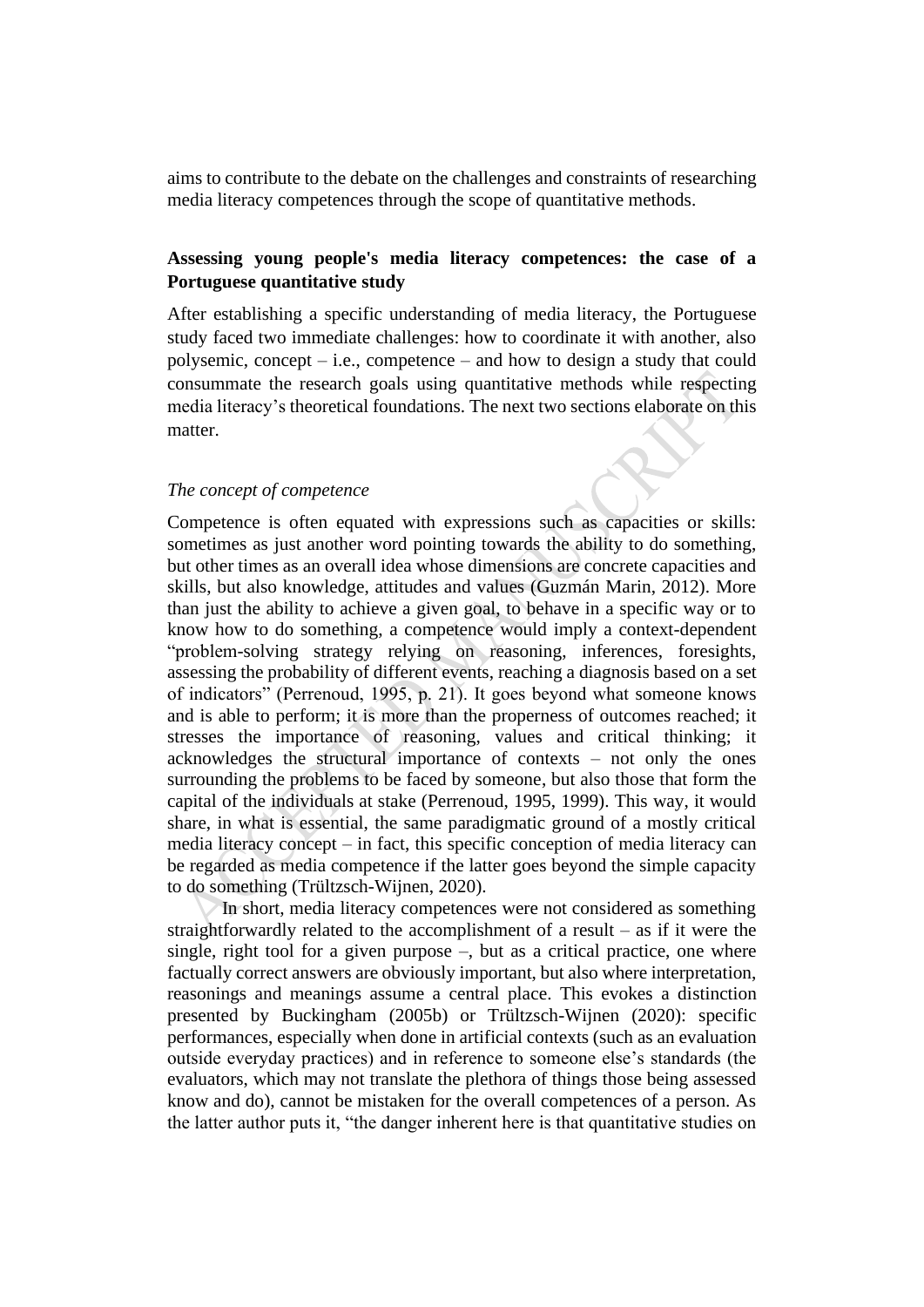aims to contribute to the debate on the challenges and constraints of researching media literacy competences through the scope of quantitative methods.

## **Assessing young people's media literacy competences: the case of a Portuguese quantitative study**

After establishing a specific understanding of media literacy, the Portuguese study faced two immediate challenges: how to coordinate it with another, also polysemic, concept – i.e., competence – and how to design a study that could consummate the research goals using quantitative methods while respecting media literacy's theoretical foundations. The next two sections elaborate on this matter.

## *The concept of competence*

Competence is often equated with expressions such as capacities or skills: sometimes as just another word pointing towards the ability to do something, but other times as an overall idea whose dimensions are concrete capacities and skills, but also knowledge, attitudes and values (Guzmán Marin, 2012). More than just the ability to achieve a given goal, to behave in a specific way or to know how to do something, a competence would imply a context-dependent "problem-solving strategy relying on reasoning, inferences, foresights, assessing the probability of different events, reaching a diagnosis based on a set of indicators" (Perrenoud, 1995, p. 21). It goes beyond what someone knows and is able to perform; it is more than the properness of outcomes reached; it stresses the importance of reasoning, values and critical thinking; it acknowledges the structural importance of contexts – not only the ones surrounding the problems to be faced by someone, but also those that form the capital of the individuals at stake (Perrenoud, 1995, 1999). This way, it would share, in what is essential, the same paradigmatic ground of a mostly critical media literacy concept – in fact, this specific conception of media literacy can be regarded as media competence if the latter goes beyond the simple capacity to do something (Trültzsch-Wijnen, 2020).

In short, media literacy competences were not considered as something straightforwardly related to the accomplishment of a result – as if it were the single, right tool for a given purpose –, but as a critical practice, one where factually correct answers are obviously important, but also where interpretation, reasonings and meanings assume a central place. This evokes a distinction presented by Buckingham (2005b) or Trültzsch-Wijnen (2020): specific performances, especially when done in artificial contexts (such as an evaluation outside everyday practices) and in reference to someone else's standards (the evaluators, which may not translate the plethora of things those being assessed know and do), cannot be mistaken for the overall competences of a person. As the latter author puts it, "the danger inherent here is that quantitative studies on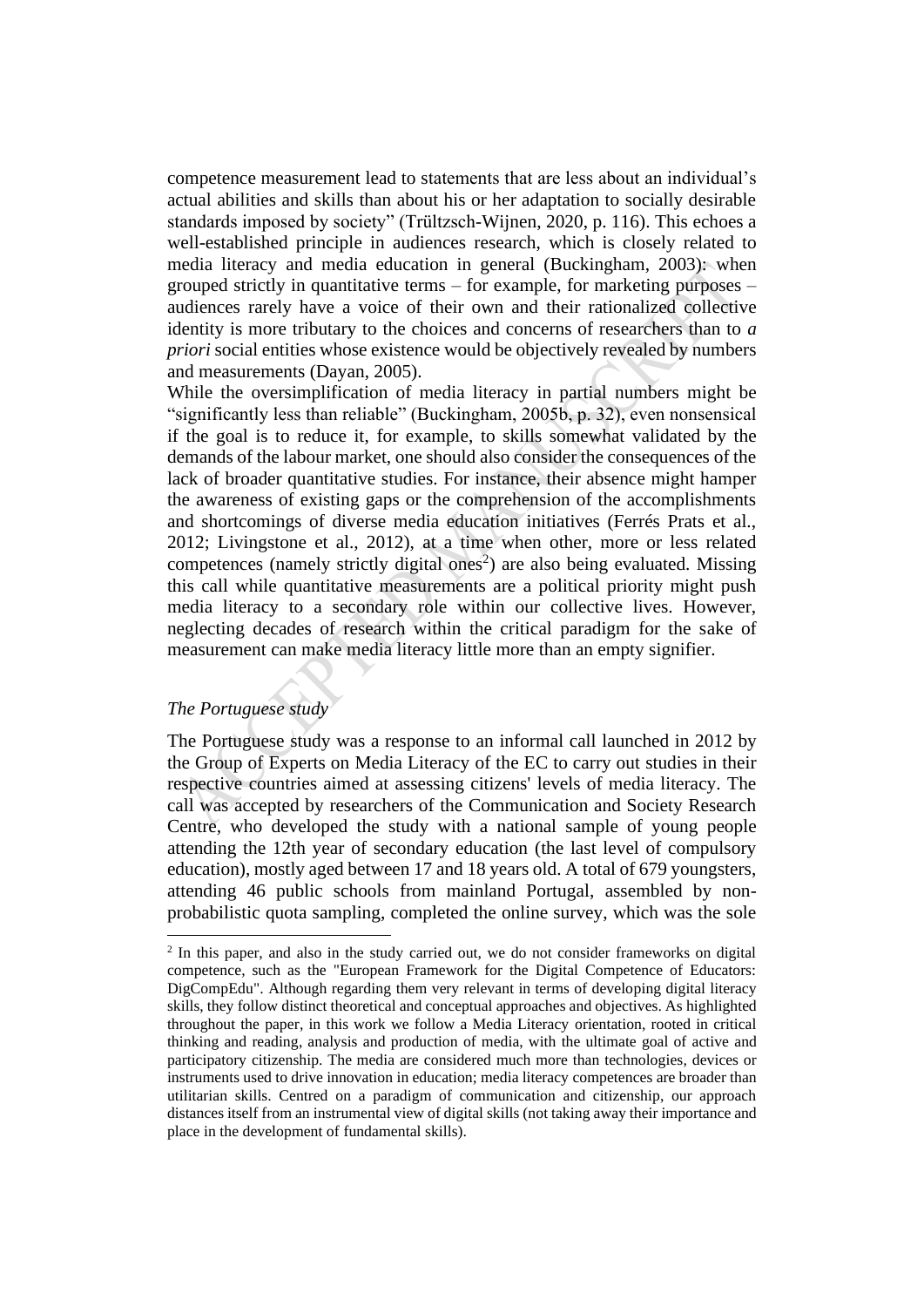competence measurement lead to statements that are less about an individual's actual abilities and skills than about his or her adaptation to socially desirable standards imposed by society" (Trültzsch-Wijnen, 2020, p. 116). This echoes a well-established principle in audiences research, which is closely related to media literacy and media education in general (Buckingham, 2003): when grouped strictly in quantitative terms – for example, for marketing purposes – audiences rarely have a voice of their own and their rationalized collective identity is more tributary to the choices and concerns of researchers than to *a priori* social entities whose existence would be objectively revealed by numbers and measurements (Dayan, 2005).

While the oversimplification of media literacy in partial numbers might be "significantly less than reliable" (Buckingham, 2005b, p. 32), even nonsensical if the goal is to reduce it, for example, to skills somewhat validated by the demands of the labour market, one should also consider the consequences of the lack of broader quantitative studies. For instance, their absence might hamper the awareness of existing gaps or the comprehension of the accomplishments and shortcomings of diverse media education initiatives (Ferrés Prats et al., 2012; Livingstone et al., 2012), at a time when other, more or less related competences (namely strictly digital ones<sup>2</sup>) are also being evaluated. Missing this call while quantitative measurements are a political priority might push media literacy to a secondary role within our collective lives. However, neglecting decades of research within the critical paradigm for the sake of measurement can make media literacy little more than an empty signifier.

## *The Portuguese study*

The Portuguese study was a response to an informal call launched in 2012 by the Group of Experts on Media Literacy of the EC to carry out studies in their respective countries aimed at assessing citizens' levels of media literacy. The call was accepted by researchers of the Communication and Society Research Centre, who developed the study with a national sample of young people attending the 12th year of secondary education (the last level of compulsory education), mostly aged between 17 and 18 years old. A total of 679 youngsters, attending 46 public schools from mainland Portugal, assembled by nonprobabilistic quota sampling, completed the online survey, which was the sole

<sup>2</sup> In this paper, and also in the study carried out, we do not consider frameworks on digital competence, such as the "European Framework for the Digital Competence of Educators: DigCompEdu". Although regarding them very relevant in terms of developing digital literacy skills, they follow distinct theoretical and conceptual approaches and objectives. As highlighted throughout the paper, in this work we follow a Media Literacy orientation, rooted in critical thinking and reading, analysis and production of media, with the ultimate goal of active and participatory citizenship. The media are considered much more than technologies, devices or instruments used to drive innovation in education; media literacy competences are broader than utilitarian skills. Centred on a paradigm of communication and citizenship, our approach distances itself from an instrumental view of digital skills (not taking away their importance and place in the development of fundamental skills).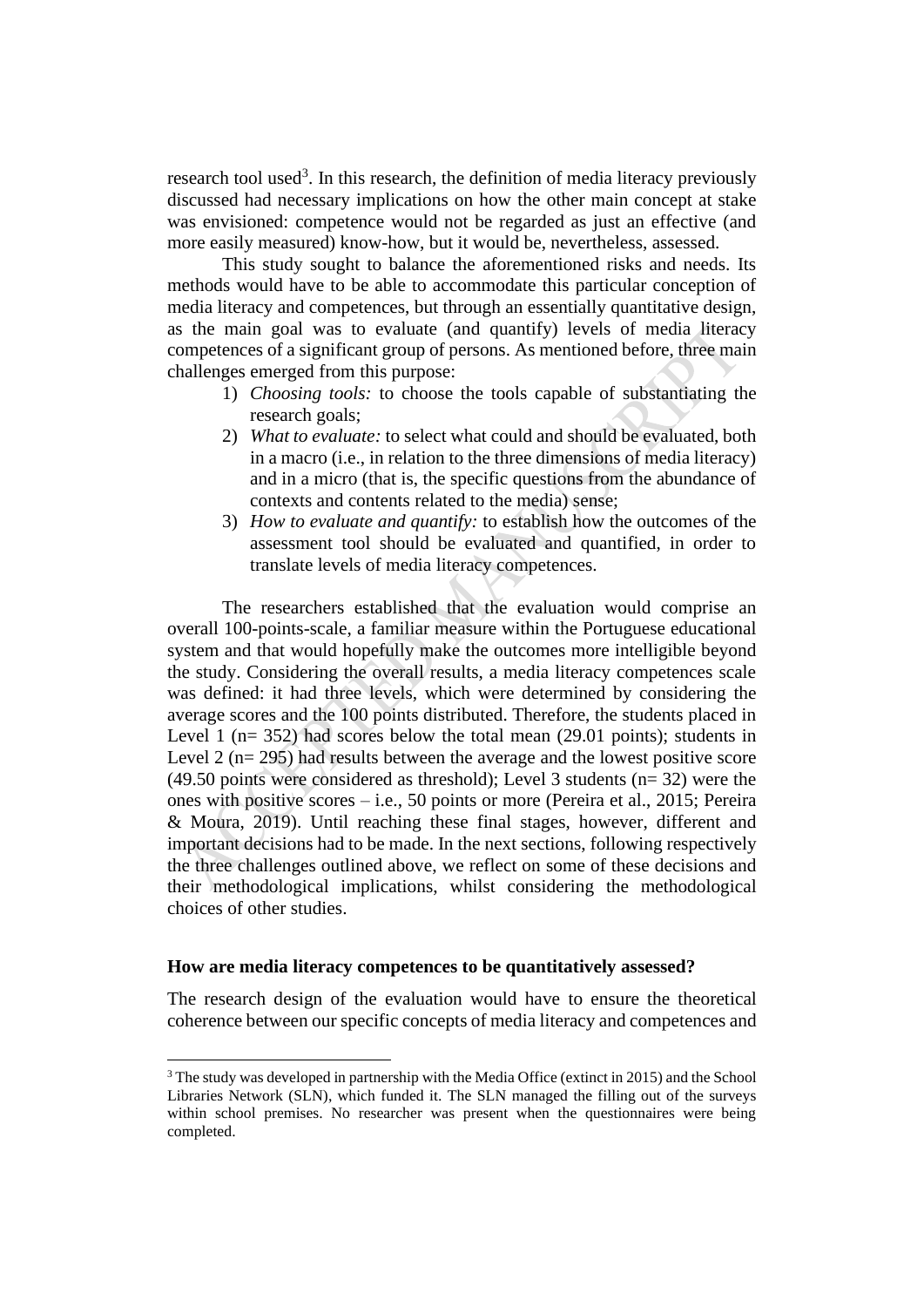research tool used<sup>3</sup>. In this research, the definition of media literacy previously discussed had necessary implications on how the other main concept at stake was envisioned: competence would not be regarded as just an effective (and more easily measured) know-how, but it would be, nevertheless, assessed.

This study sought to balance the aforementioned risks and needs. Its methods would have to be able to accommodate this particular conception of media literacy and competences, but through an essentially quantitative design, as the main goal was to evaluate (and quantify) levels of media literacy competences of a significant group of persons. As mentioned before, three main challenges emerged from this purpose:

- 1) *Choosing tools:* to choose the tools capable of substantiating the research goals;
- 2) *What to evaluate:* to select what could and should be evaluated, both in a macro (i.e., in relation to the three dimensions of media literacy) and in a micro (that is, the specific questions from the abundance of contexts and contents related to the media) sense;
- 3) *How to evaluate and quantify:* to establish how the outcomes of the assessment tool should be evaluated and quantified, in order to translate levels of media literacy competences.

The researchers established that the evaluation would comprise an overall 100-points-scale, a familiar measure within the Portuguese educational system and that would hopefully make the outcomes more intelligible beyond the study. Considering the overall results, a media literacy competences scale was defined: it had three levels, which were determined by considering the average scores and the 100 points distributed. Therefore, the students placed in Level 1 ( $n= 352$ ) had scores below the total mean (29.01 points); students in Level 2 (n= 295) had results between the average and the lowest positive score (49.50 points were considered as threshold); Level 3 students (n= 32) were the ones with positive scores – i.e., 50 points or more (Pereira et al., 2015; Pereira & Moura, 2019). Until reaching these final stages, however, different and important decisions had to be made. In the next sections, following respectively the three challenges outlined above, we reflect on some of these decisions and their methodological implications, whilst considering the methodological choices of other studies.

## **How are media literacy competences to be quantitatively assessed?**

The research design of the evaluation would have to ensure the theoretical coherence between our specific concepts of media literacy and competences and

<sup>&</sup>lt;sup>3</sup> The study was developed in partnership with the Media Office (extinct in 2015) and the School Libraries Network (SLN), which funded it. The SLN managed the filling out of the surveys within school premises. No researcher was present when the questionnaires were being completed.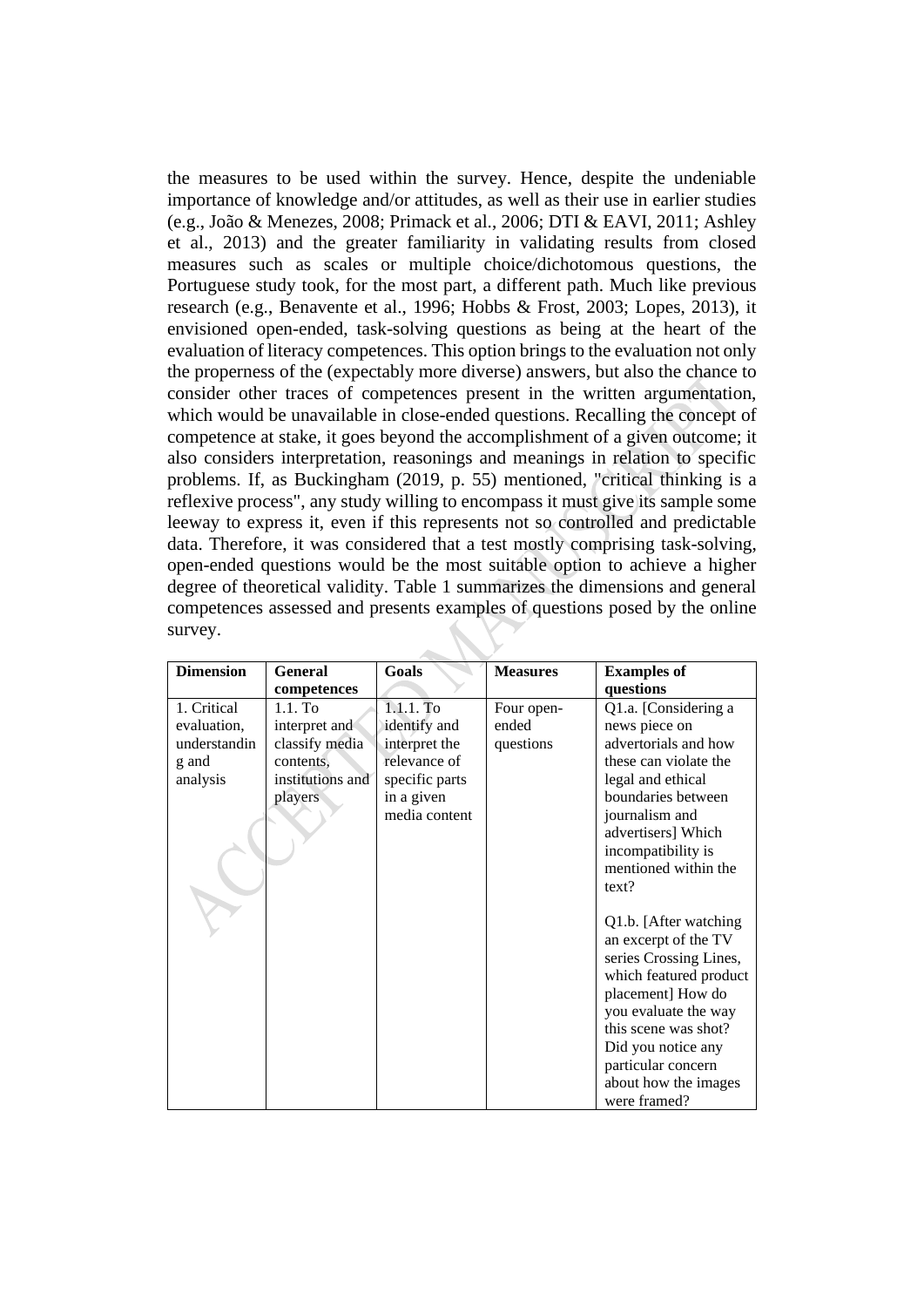the measures to be used within the survey. Hence, despite the undeniable importance of knowledge and/or attitudes, as well as their use in earlier studies (e.g., João & Menezes, 2008; Primack et al., 2006; DTI & EAVI, 2011; Ashley et al., 2013) and the greater familiarity in validating results from closed measures such as scales or multiple choice/dichotomous questions, the Portuguese study took, for the most part, a different path. Much like previous research (e.g., Benavente et al., 1996; Hobbs & Frost, 2003; Lopes, 2013), it envisioned open-ended, task-solving questions as being at the heart of the evaluation of literacy competences. This option brings to the evaluation not only the properness of the (expectably more diverse) answers, but also the chance to consider other traces of competences present in the written argumentation, which would be unavailable in close-ended questions. Recalling the concept of competence at stake, it goes beyond the accomplishment of a given outcome; it also considers interpretation, reasonings and meanings in relation to specific problems. If, as Buckingham (2019, p. 55) mentioned, "critical thinking is a reflexive process", any study willing to encompass it must give its sample some leeway to express it, even if this represents not so controlled and predictable data. Therefore, it was considered that a test mostly comprising task-solving, open-ended questions would be the most suitable option to achieve a higher degree of theoretical validity. Table 1 summarizes the dimensions and general competences assessed and presents examples of questions posed by the online survey.

| <b>Dimension</b> | <b>General</b>   | Goals          | <b>Measures</b> |                        |
|------------------|------------------|----------------|-----------------|------------------------|
|                  |                  |                |                 | <b>Examples of</b>     |
|                  | competences      |                |                 | questions              |
| 1. Critical      | $1.1.$ To        | $1.1.1.$ To    | Four open-      | Q1.a. [Considering a   |
| evaluation,      | interpret and    | identify and   | ended           | news piece on          |
| understandin     | classify media   | interpret the  | questions       | advertorials and how   |
| g and            | contents.        | relevance of   |                 | these can violate the  |
| analysis         | institutions and | specific parts |                 | legal and ethical      |
|                  | players          | in a given     |                 | boundaries between     |
|                  |                  | media content  |                 | journalism and         |
|                  |                  |                |                 | advertisers] Which     |
|                  |                  |                |                 | incompatibility is     |
|                  |                  |                |                 | mentioned within the   |
|                  |                  |                |                 | text?                  |
|                  |                  |                |                 |                        |
|                  |                  |                |                 | Q1.b. [After watching] |
|                  |                  |                |                 | an excerpt of the TV   |
|                  |                  |                |                 | series Crossing Lines, |
|                  |                  |                |                 | which featured product |
|                  |                  |                |                 | placement] How do      |
|                  |                  |                |                 | you evaluate the way   |
|                  |                  |                |                 | this scene was shot?   |
|                  |                  |                |                 | Did you notice any     |
|                  |                  |                |                 | particular concern     |
|                  |                  |                |                 | about how the images   |
|                  |                  |                |                 | were framed?           |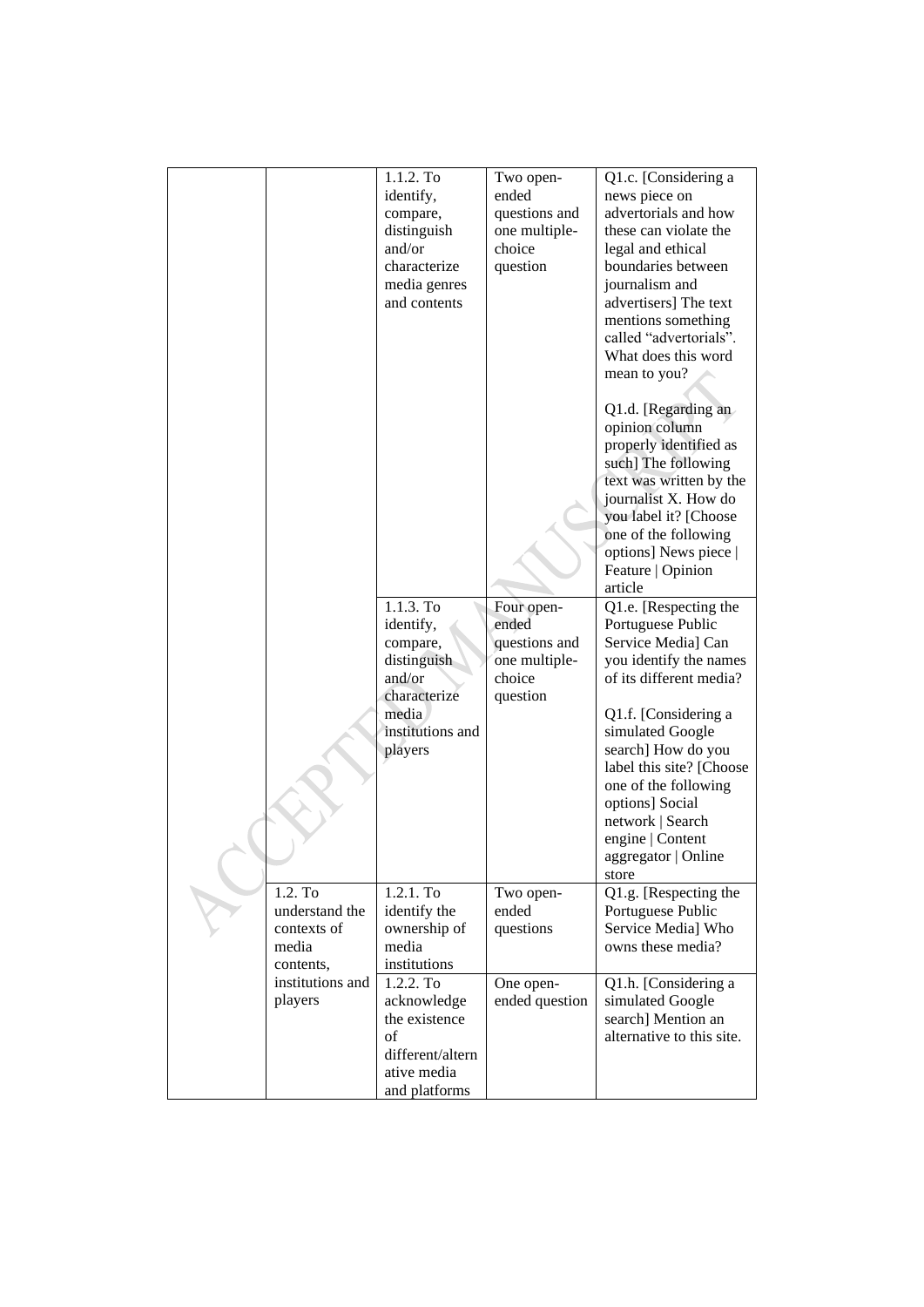|                    | 1.1.2. To<br>identify,<br>compare,<br>distinguish<br>and/or<br>characterize<br>media genres<br>and contents<br>$1.1.3.$ To<br>identify, | Two open-<br>ended<br>questions and<br>one multiple-<br>choice<br>question<br>Four open-<br>ended | Q1.c. [Considering a<br>news piece on<br>advertorials and how<br>these can violate the<br>legal and ethical<br>boundaries between<br>journalism and<br>advertisers] The text<br>mentions something<br>called "advertorials".<br>What does this word<br>mean to you?<br>Q1.d. [Regarding an<br>opinion column<br>properly identified as<br>such] The following<br>text was written by the<br>journalist X. How do<br>you label it? [Choose<br>one of the following<br>options] News piece  <br>Feature   Opinion<br>article<br>Q1.e. [Respecting the<br>Portuguese Public |  |
|--------------------|-----------------------------------------------------------------------------------------------------------------------------------------|---------------------------------------------------------------------------------------------------|--------------------------------------------------------------------------------------------------------------------------------------------------------------------------------------------------------------------------------------------------------------------------------------------------------------------------------------------------------------------------------------------------------------------------------------------------------------------------------------------------------------------------------------------------------------------------|--|
|                    | compare,<br>distinguish                                                                                                                 | questions and<br>one multiple-                                                                    | Service Media] Can<br>you identify the names                                                                                                                                                                                                                                                                                                                                                                                                                                                                                                                             |  |
|                    | and/or<br>characterize                                                                                                                  | choice                                                                                            | of its different media?                                                                                                                                                                                                                                                                                                                                                                                                                                                                                                                                                  |  |
|                    | media                                                                                                                                   | question                                                                                          | Q1.f. [Considering a                                                                                                                                                                                                                                                                                                                                                                                                                                                                                                                                                     |  |
|                    | institutions and<br>players                                                                                                             |                                                                                                   | simulated Google<br>search] How do you                                                                                                                                                                                                                                                                                                                                                                                                                                                                                                                                   |  |
|                    |                                                                                                                                         |                                                                                                   | label this site? [Choose<br>one of the following                                                                                                                                                                                                                                                                                                                                                                                                                                                                                                                         |  |
|                    |                                                                                                                                         |                                                                                                   | options] Social<br>network   Search                                                                                                                                                                                                                                                                                                                                                                                                                                                                                                                                      |  |
|                    |                                                                                                                                         |                                                                                                   | engine   Content                                                                                                                                                                                                                                                                                                                                                                                                                                                                                                                                                         |  |
|                    |                                                                                                                                         |                                                                                                   | aggregator   Online<br>store                                                                                                                                                                                                                                                                                                                                                                                                                                                                                                                                             |  |
| 1.2. To            | 1.2.1. To                                                                                                                               | Two open-                                                                                         | Q1.g. [Respecting the                                                                                                                                                                                                                                                                                                                                                                                                                                                                                                                                                    |  |
| understand the     | identify the                                                                                                                            | ended                                                                                             | Portuguese Public                                                                                                                                                                                                                                                                                                                                                                                                                                                                                                                                                        |  |
| contexts of        | ownership of                                                                                                                            | questions                                                                                         | Service Media] Who                                                                                                                                                                                                                                                                                                                                                                                                                                                                                                                                                       |  |
| media<br>contents, | media<br>institutions                                                                                                                   |                                                                                                   | owns these media?                                                                                                                                                                                                                                                                                                                                                                                                                                                                                                                                                        |  |
| institutions and   | 1.2.2. To                                                                                                                               | One open-                                                                                         | Q1.h. [Considering a                                                                                                                                                                                                                                                                                                                                                                                                                                                                                                                                                     |  |
| players            | acknowledge                                                                                                                             | ended question                                                                                    | simulated Google                                                                                                                                                                                                                                                                                                                                                                                                                                                                                                                                                         |  |
|                    | the existence                                                                                                                           |                                                                                                   | search] Mention an                                                                                                                                                                                                                                                                                                                                                                                                                                                                                                                                                       |  |
|                    | of<br>different/altern                                                                                                                  |                                                                                                   | alternative to this site.                                                                                                                                                                                                                                                                                                                                                                                                                                                                                                                                                |  |
|                    | ative media                                                                                                                             |                                                                                                   |                                                                                                                                                                                                                                                                                                                                                                                                                                                                                                                                                                          |  |
|                    | and platforms                                                                                                                           |                                                                                                   |                                                                                                                                                                                                                                                                                                                                                                                                                                                                                                                                                                          |  |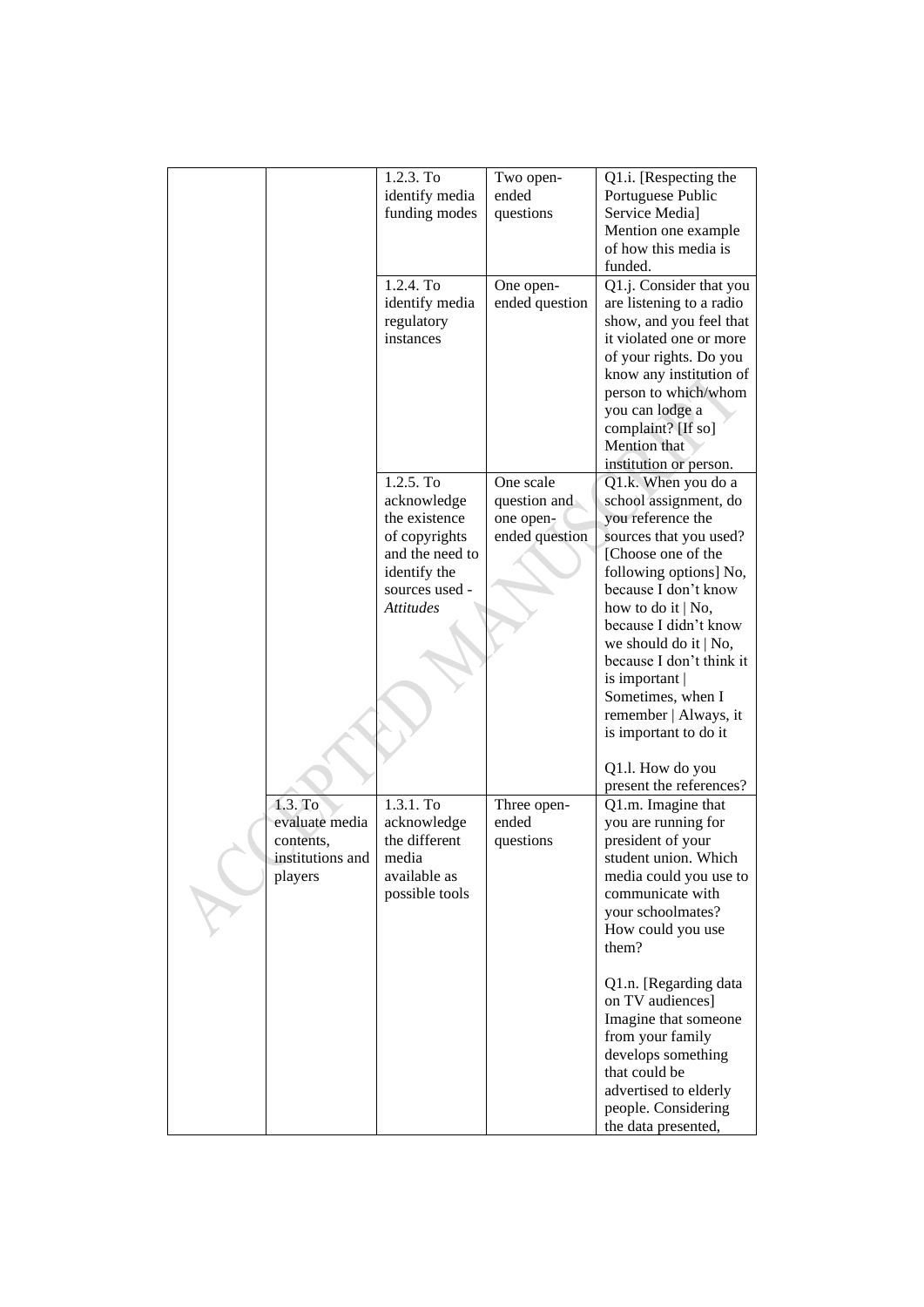|                  | 1.2.3. To        | Two open-      | Q1.i. [Respecting the    |
|------------------|------------------|----------------|--------------------------|
|                  | identify media   | ended          | Portuguese Public        |
|                  | funding modes    | questions      | Service Media]           |
|                  |                  |                | Mention one example      |
|                  |                  |                | of how this media is     |
|                  |                  |                | funded.                  |
|                  | 1.2.4. To        |                |                          |
|                  |                  | One open-      | Q1.j. Consider that you  |
|                  | identify media   | ended question | are listening to a radio |
|                  | regulatory       |                | show, and you feel that  |
|                  | instances        |                | it violated one or more  |
|                  |                  |                | of your rights. Do you   |
|                  |                  |                | know any institution of  |
|                  |                  |                | person to which/whom     |
|                  |                  |                | you can lodge a          |
|                  |                  |                | complaint? [If so]       |
|                  |                  |                | Mention that             |
|                  |                  |                | institution or person.   |
|                  | 1.2.5. To        | One scale      | Q1.k. When you do a      |
|                  | acknowledge      | question and   | school assignment, do    |
|                  | the existence    |                |                          |
|                  |                  | one open-      | you reference the        |
|                  | of copyrights    | ended question | sources that you used?   |
|                  | and the need to  |                | [Choose one of the       |
|                  | identify the     |                | following options] No,   |
|                  | sources used -   |                | because I don't know     |
|                  | <b>Attitudes</b> |                | how to do it $ $ No,     |
|                  |                  |                | because I didn't know    |
|                  |                  |                | we should do it $ $ No,  |
|                  |                  |                | because I don't think it |
|                  |                  |                | is important             |
|                  |                  |                | Sometimes, when I        |
|                  |                  |                | remember   Always, it    |
|                  |                  |                | is important to do it    |
|                  |                  |                |                          |
|                  |                  |                | Q1.1. How do you         |
|                  |                  |                | present the references?  |
| 1.3. To          | 1.3.1. To        | Three open-    | Q1.m. Imagine that       |
| evaluate media   |                  | ended          |                          |
|                  | acknowledge      |                | you are running for      |
| contents,        | the different    | questions      | president of your        |
| institutions and | media            |                | student union. Which     |
| players          | available as     |                | media could you use to   |
|                  | possible tools   |                | communicate with         |
|                  |                  |                | your schoolmates?        |
|                  |                  |                | How could you use        |
|                  |                  |                | them?                    |
|                  |                  |                |                          |
|                  |                  |                | Q1.n. [Regarding data    |
|                  |                  |                | on TV audiences]         |
|                  |                  |                | Imagine that someone     |
|                  |                  |                | from your family         |
|                  |                  |                | develops something       |
|                  |                  |                | that could be            |
|                  |                  |                | advertised to elderly    |
|                  |                  |                |                          |
|                  |                  |                | people. Considering      |
|                  |                  |                | the data presented,      |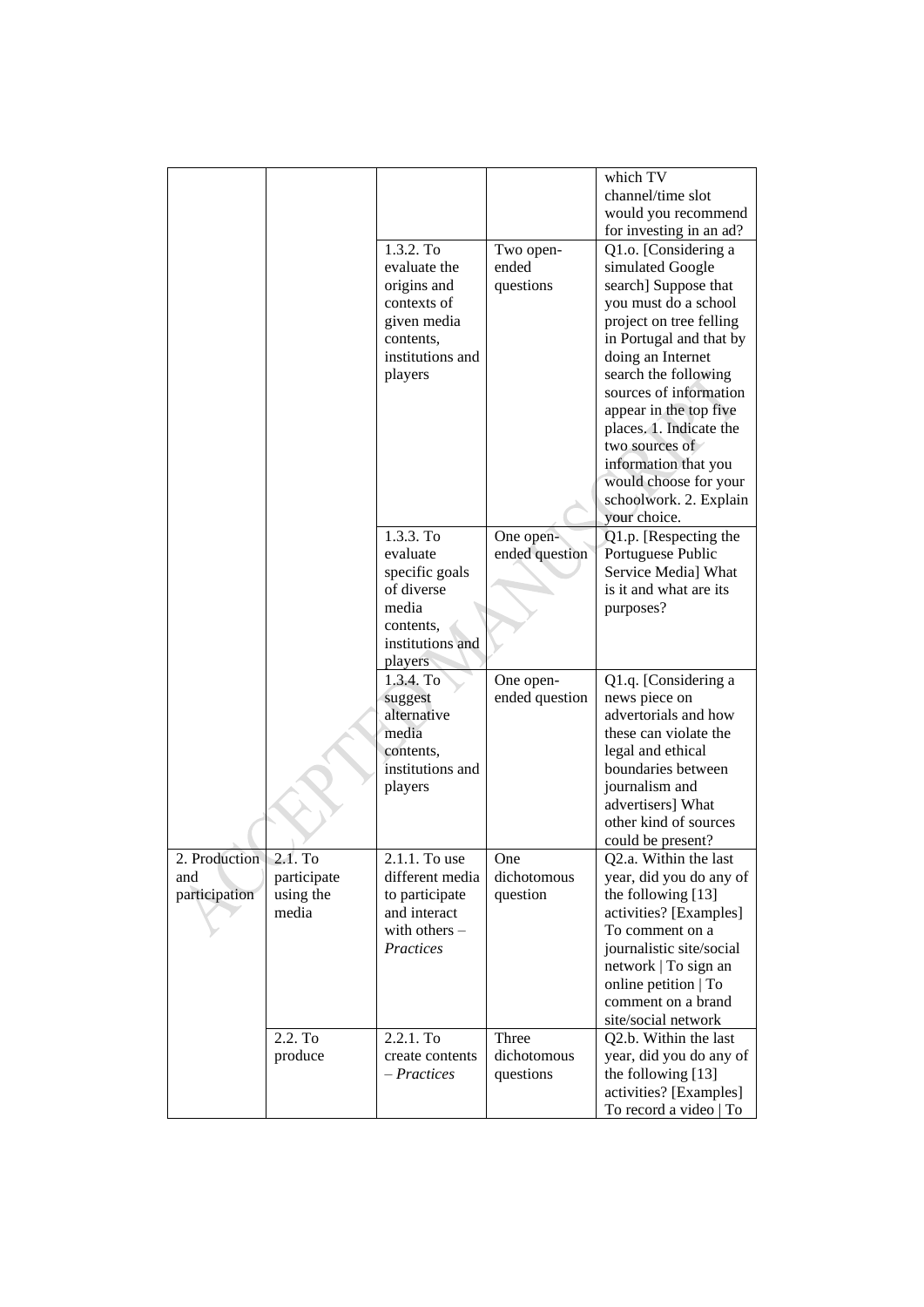|                                               |                                   |                                                                                                                    |                                   | which TV<br>channel/time slot<br>would you recommend<br>for investing in an ad?                                                                                                                                                                                                                                                                                                         |
|-----------------------------------------------|-----------------------------------|--------------------------------------------------------------------------------------------------------------------|-----------------------------------|-----------------------------------------------------------------------------------------------------------------------------------------------------------------------------------------------------------------------------------------------------------------------------------------------------------------------------------------------------------------------------------------|
|                                               |                                   | 1.3.2. To<br>evaluate the<br>origins and<br>contexts of<br>given media<br>contents,<br>institutions and<br>players | Two open-<br>ended<br>questions   | Q1.o. [Considering a<br>simulated Google<br>search] Suppose that<br>you must do a school<br>project on tree felling<br>in Portugal and that by<br>doing an Internet<br>search the following<br>sources of information<br>appear in the top five<br>places. 1. Indicate the<br>two sources of<br>information that you<br>would choose for your<br>schoolwork. 2. Explain<br>your choice. |
|                                               |                                   | 1.3.3. To<br>evaluate<br>specific goals<br>of diverse<br>media<br>contents,<br>institutions and                    | One open-<br>ended question       | Q1.p. [Respecting the<br>Portuguese Public<br>Service Media] What<br>is it and what are its<br>purposes?                                                                                                                                                                                                                                                                                |
|                                               |                                   | players<br>1.3.4. To<br>suggest<br>alternative<br>media<br>contents,<br>institutions and<br>players                | One open-<br>ended question       | Q1.q. [Considering a<br>news piece on<br>advertorials and how<br>these can violate the<br>legal and ethical<br>boundaries between<br>journalism and<br>advertisers] What<br>other kind of sources<br>could be present?                                                                                                                                                                  |
| 2. Production 2.1. To<br>and<br>participation | participate<br>using the<br>media | 2.1.1. To use<br>different media<br>to participate<br>and interact<br>with others -<br>Practices                   | One<br>dichotomous<br>question    | Q2.a. Within the last<br>year, did you do any of<br>the following [13]<br>activities? [Examples]<br>To comment on a<br>journalistic site/social<br>network   To sign an<br>online petition   To<br>comment on a brand<br>site/social network                                                                                                                                            |
|                                               | 2.2. To<br>produce                | 2.2.1. To<br>create contents<br>- Practices                                                                        | Three<br>dichotomous<br>questions | Q2.b. Within the last<br>year, did you do any of<br>the following [13]<br>activities? [Examples]<br>To record a video   To                                                                                                                                                                                                                                                              |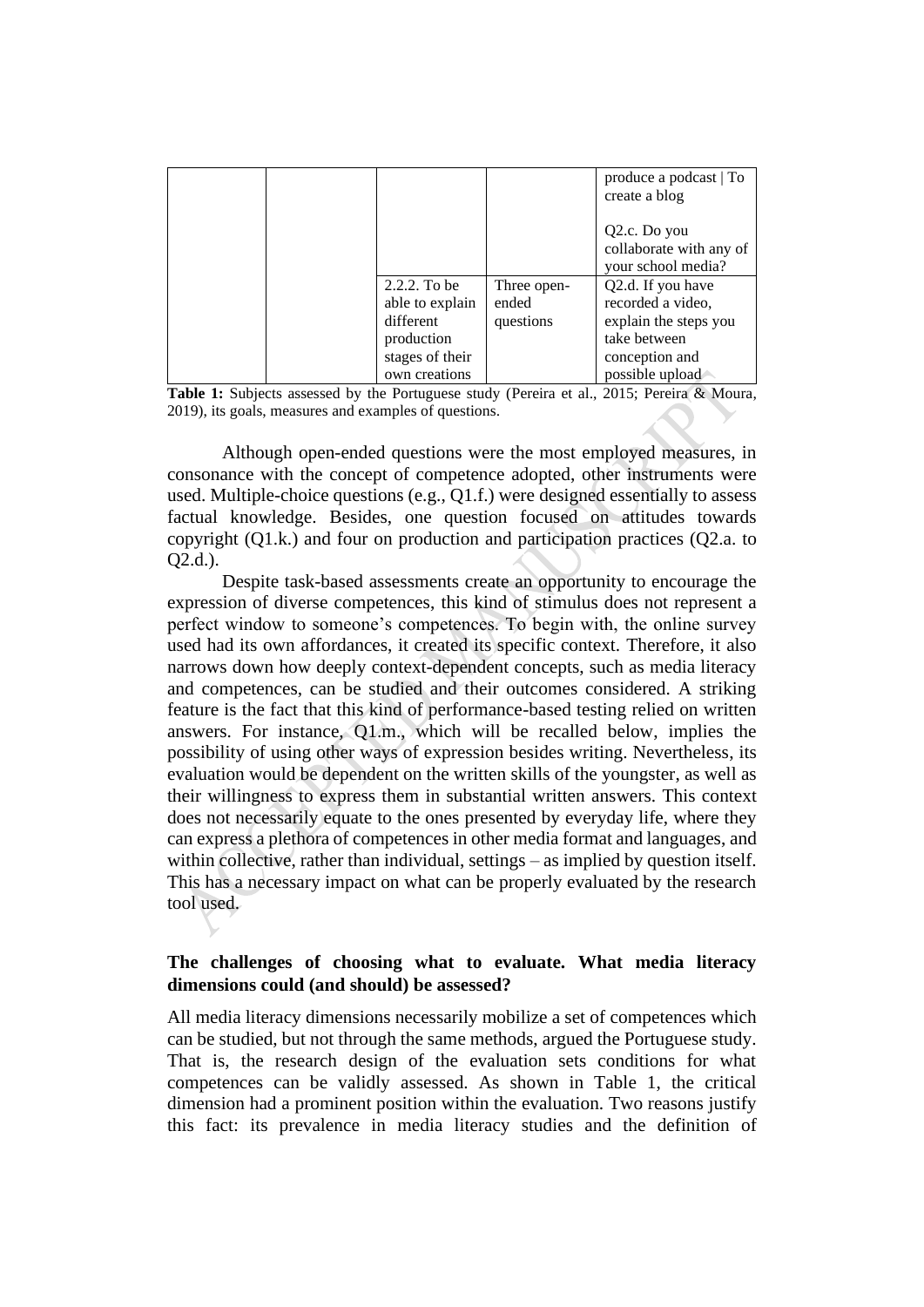|  |                 |             | produce a podcast   To<br>create a blog                                    |
|--|-----------------|-------------|----------------------------------------------------------------------------|
|  |                 |             | Q <sub>2</sub> .c. Do you<br>collaborate with any of<br>your school media? |
|  | $2.2.2.$ To be  | Three open- | Q2.d. If you have                                                          |
|  | able to explain | ended       | recorded a video,                                                          |
|  | different       | questions   | explain the steps you                                                      |
|  | production      |             | take between                                                               |
|  | stages of their |             | conception and                                                             |
|  | own creations   |             | possible upload                                                            |

Table 1: Subjects assessed by the Portuguese study (Pereira et al., 2015; Pereira & Moura, 2019), its goals, measures and examples of questions.

Although open-ended questions were the most employed measures, in consonance with the concept of competence adopted, other instruments were used. Multiple-choice questions (e.g., Q1.f.) were designed essentially to assess factual knowledge. Besides, one question focused on attitudes towards copyright (Q1.k.) and four on production and participation practices (Q2.a. to Q2.d.).

Despite task-based assessments create an opportunity to encourage the expression of diverse competences, this kind of stimulus does not represent a perfect window to someone's competences. To begin with, the online survey used had its own affordances, it created its specific context. Therefore, it also narrows down how deeply context-dependent concepts, such as media literacy and competences, can be studied and their outcomes considered. A striking feature is the fact that this kind of performance-based testing relied on written answers. For instance, Q1.m., which will be recalled below, implies the possibility of using other ways of expression besides writing. Nevertheless, its evaluation would be dependent on the written skills of the youngster, as well as their willingness to express them in substantial written answers. This context does not necessarily equate to the ones presented by everyday life, where they can express a plethora of competences in other media format and languages, and within collective, rather than individual, settings – as implied by question itself. This has a necessary impact on what can be properly evaluated by the research tool used.

## **The challenges of choosing what to evaluate. What media literacy dimensions could (and should) be assessed?**

All media literacy dimensions necessarily mobilize a set of competences which can be studied, but not through the same methods, argued the Portuguese study. That is, the research design of the evaluation sets conditions for what competences can be validly assessed. As shown in Table 1, the critical dimension had a prominent position within the evaluation. Two reasons justify this fact: its prevalence in media literacy studies and the definition of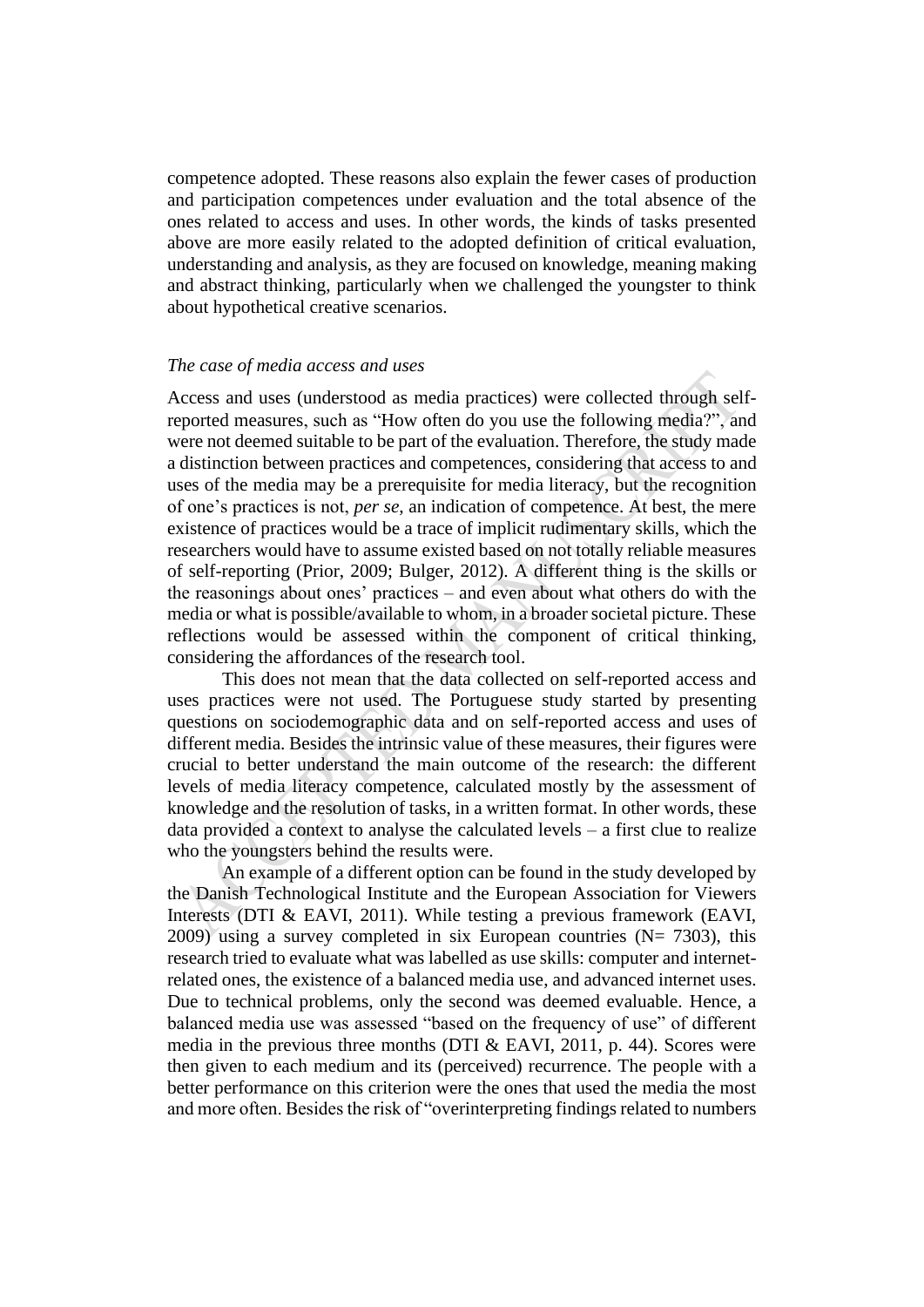competence adopted. These reasons also explain the fewer cases of production and participation competences under evaluation and the total absence of the ones related to access and uses. In other words, the kinds of tasks presented above are more easily related to the adopted definition of critical evaluation, understanding and analysis, as they are focused on knowledge, meaning making and abstract thinking, particularly when we challenged the youngster to think about hypothetical creative scenarios.

#### *The case of media access and uses*

Access and uses (understood as media practices) were collected through selfreported measures, such as "How often do you use the following media?", and were not deemed suitable to be part of the evaluation. Therefore, the study made a distinction between practices and competences, considering that access to and uses of the media may be a prerequisite for media literacy, but the recognition of one's practices is not, *per se*, an indication of competence. At best, the mere existence of practices would be a trace of implicit rudimentary skills, which the researchers would have to assume existed based on not totally reliable measures of self-reporting (Prior, 2009; Bulger, 2012). A different thing is the skills or the reasonings about ones' practices – and even about what others do with the media or what is possible/available to whom, in a broader societal picture. These reflections would be assessed within the component of critical thinking, considering the affordances of the research tool.

This does not mean that the data collected on self-reported access and uses practices were not used. The Portuguese study started by presenting questions on sociodemographic data and on self-reported access and uses of different media. Besides the intrinsic value of these measures, their figures were crucial to better understand the main outcome of the research: the different levels of media literacy competence, calculated mostly by the assessment of knowledge and the resolution of tasks, in a written format. In other words, these data provided a context to analyse the calculated levels – a first clue to realize who the youngsters behind the results were.

An example of a different option can be found in the study developed by the Danish Technological Institute and the European Association for Viewers Interests (DTI & EAVI, 2011). While testing a previous framework (EAVI, 2009) using a survey completed in six European countries ( $N = 7303$ ), this research tried to evaluate what was labelled as use skills: computer and internetrelated ones, the existence of a balanced media use, and advanced internet uses. Due to technical problems, only the second was deemed evaluable. Hence, a balanced media use was assessed "based on the frequency of use" of different media in the previous three months (DTI & EAVI, 2011, p. 44). Scores were then given to each medium and its (perceived) recurrence. The people with a better performance on this criterion were the ones that used the media the most and more often. Besides the risk of "overinterpreting findings related to numbers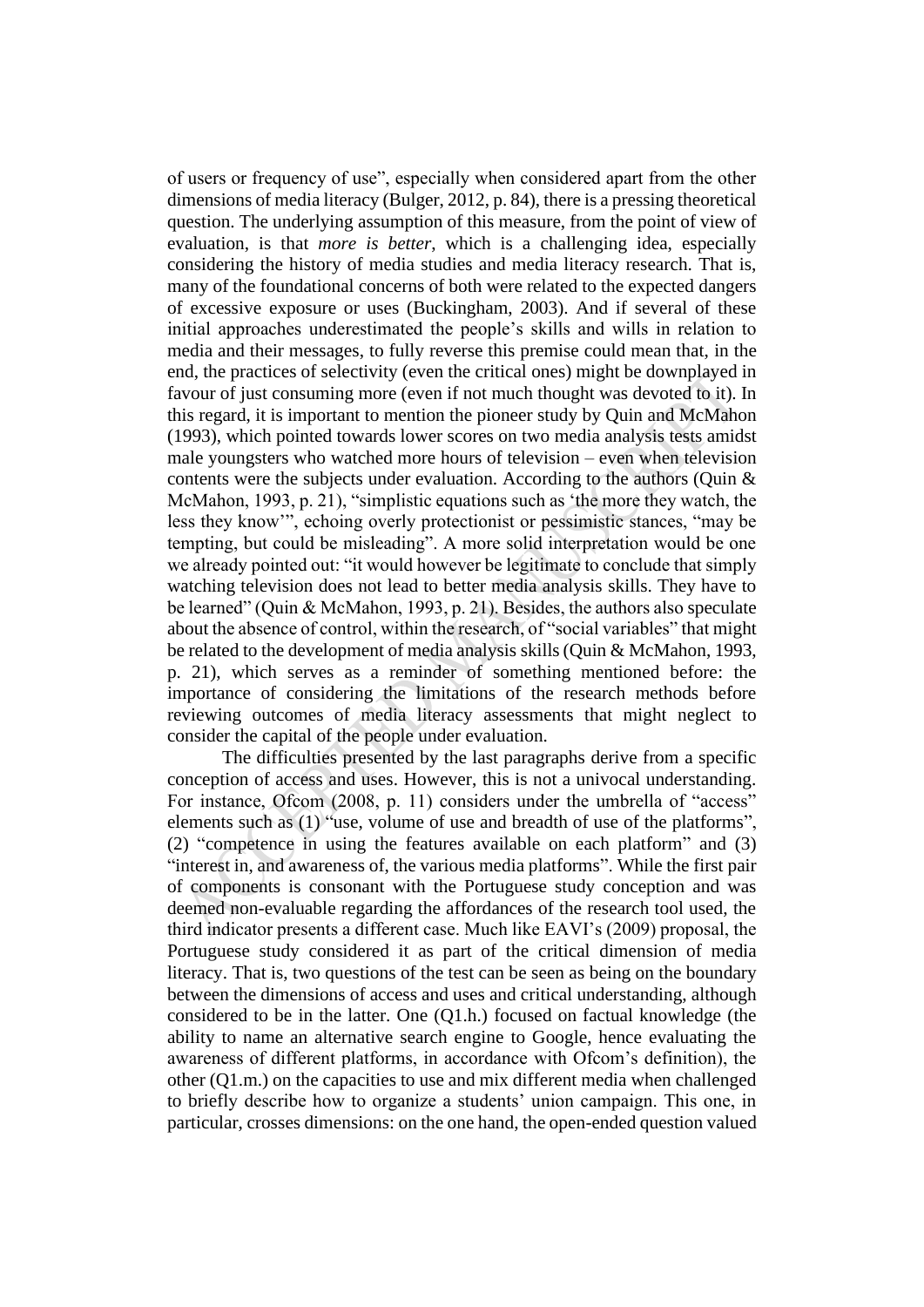of users or frequency of use", especially when considered apart from the other dimensions of media literacy (Bulger, 2012, p. 84), there is a pressing theoretical question. The underlying assumption of this measure, from the point of view of evaluation, is that *more is better*, which is a challenging idea, especially considering the history of media studies and media literacy research. That is, many of the foundational concerns of both were related to the expected dangers of excessive exposure or uses (Buckingham, 2003). And if several of these initial approaches underestimated the people's skills and wills in relation to media and their messages, to fully reverse this premise could mean that, in the end, the practices of selectivity (even the critical ones) might be downplayed in favour of just consuming more (even if not much thought was devoted to it). In this regard, it is important to mention the pioneer study by Quin and McMahon (1993), which pointed towards lower scores on two media analysis tests amidst male youngsters who watched more hours of television – even when television contents were the subjects under evaluation. According to the authors (Ouin  $&$ McMahon, 1993, p. 21), "simplistic equations such as 'the more they watch, the less they know'", echoing overly protectionist or pessimistic stances, "may be tempting, but could be misleading". A more solid interpretation would be one we already pointed out: "it would however be legitimate to conclude that simply watching television does not lead to better media analysis skills. They have to be learned" (Quin & McMahon, 1993, p. 21). Besides, the authors also speculate about the absence of control, within the research, of "social variables" that might be related to the development of media analysis skills(Quin & McMahon, 1993, p. 21), which serves as a reminder of something mentioned before: the importance of considering the limitations of the research methods before reviewing outcomes of media literacy assessments that might neglect to consider the capital of the people under evaluation.

The difficulties presented by the last paragraphs derive from a specific conception of access and uses. However, this is not a univocal understanding. For instance, Ofcom (2008, p. 11) considers under the umbrella of "access" elements such as (1) "use, volume of use and breadth of use of the platforms", (2) "competence in using the features available on each platform" and (3) "interest in, and awareness of, the various media platforms". While the first pair of components is consonant with the Portuguese study conception and was deemed non-evaluable regarding the affordances of the research tool used, the third indicator presents a different case. Much like EAVI's (2009) proposal, the Portuguese study considered it as part of the critical dimension of media literacy. That is, two questions of the test can be seen as being on the boundary between the dimensions of access and uses and critical understanding, although considered to be in the latter. One (Q1.h.) focused on factual knowledge (the ability to name an alternative search engine to Google, hence evaluating the awareness of different platforms, in accordance with Ofcom's definition), the other (Q1.m.) on the capacities to use and mix different media when challenged to briefly describe how to organize a students' union campaign. This one, in particular, crosses dimensions: on the one hand, the open-ended question valued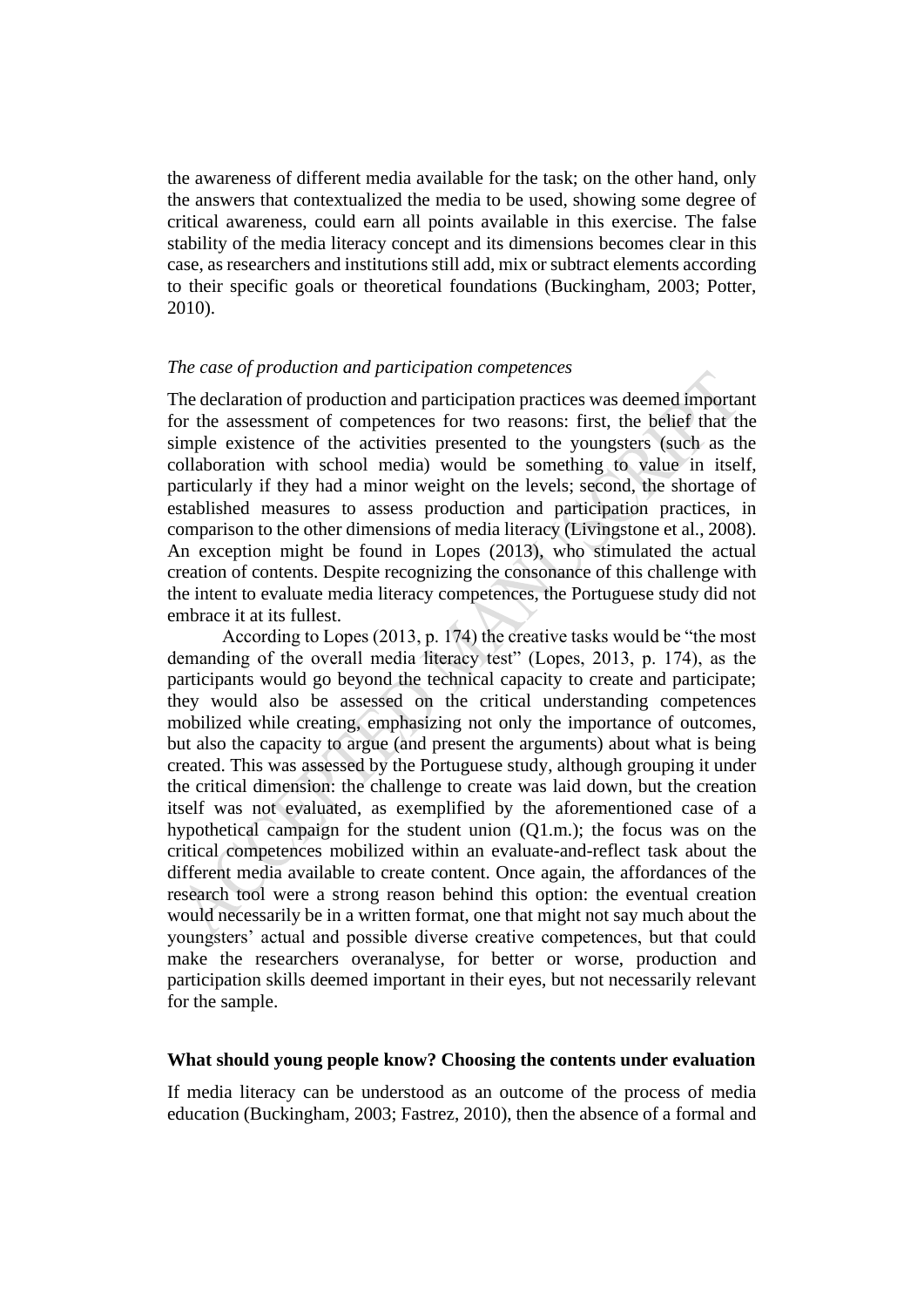the awareness of different media available for the task; on the other hand, only the answers that contextualized the media to be used, showing some degree of critical awareness, could earn all points available in this exercise. The false stability of the media literacy concept and its dimensions becomes clear in this case, as researchers and institutions still add, mix or subtract elements according to their specific goals or theoretical foundations (Buckingham, 2003; Potter, 2010).

#### *The case of production and participation competences*

The declaration of production and participation practices was deemed important for the assessment of competences for two reasons: first, the belief that the simple existence of the activities presented to the youngsters (such as the collaboration with school media) would be something to value in itself, particularly if they had a minor weight on the levels; second, the shortage of established measures to assess production and participation practices, in comparison to the other dimensions of media literacy (Livingstone et al., 2008). An exception might be found in Lopes (2013), who stimulated the actual creation of contents. Despite recognizing the consonance of this challenge with the intent to evaluate media literacy competences, the Portuguese study did not embrace it at its fullest.

According to Lopes (2013, p. 174) the creative tasks would be "the most demanding of the overall media literacy test" (Lopes, 2013, p. 174), as the participants would go beyond the technical capacity to create and participate; they would also be assessed on the critical understanding competences mobilized while creating, emphasizing not only the importance of outcomes, but also the capacity to argue (and present the arguments) about what is being created. This was assessed by the Portuguese study, although grouping it under the critical dimension: the challenge to create was laid down, but the creation itself was not evaluated, as exemplified by the aforementioned case of a hypothetical campaign for the student union (Q1.m.); the focus was on the critical competences mobilized within an evaluate-and-reflect task about the different media available to create content. Once again, the affordances of the research tool were a strong reason behind this option: the eventual creation would necessarily be in a written format, one that might not say much about the youngsters' actual and possible diverse creative competences, but that could make the researchers overanalyse, for better or worse, production and participation skills deemed important in their eyes, but not necessarily relevant for the sample.

#### **What should young people know? Choosing the contents under evaluation**

If media literacy can be understood as an outcome of the process of media education (Buckingham, 2003; Fastrez, 2010), then the absence of a formal and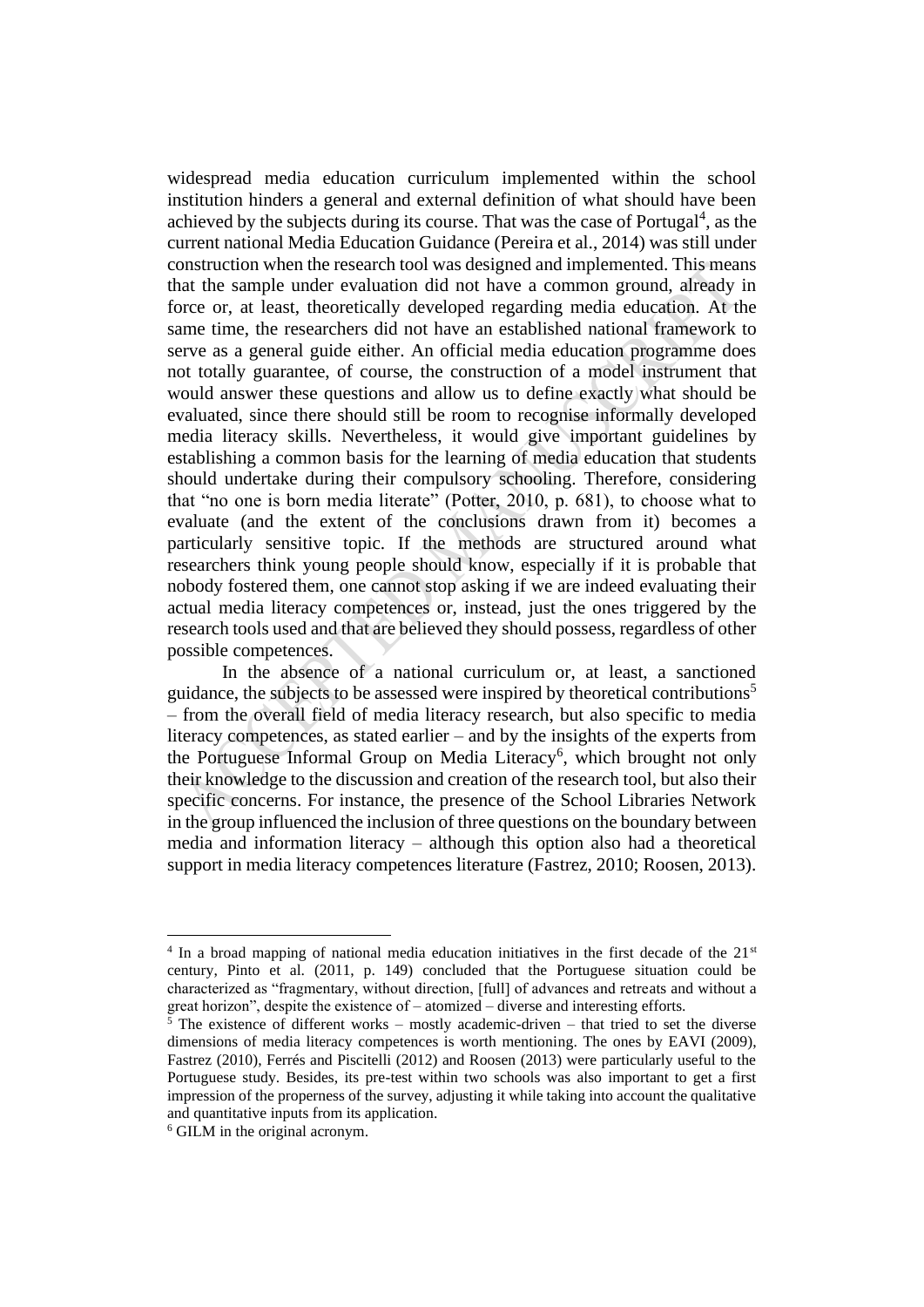widespread media education curriculum implemented within the school institution hinders a general and external definition of what should have been achieved by the subjects during its course. That was the case of Portugal<sup>4</sup>, as the current national Media Education Guidance (Pereira et al., 2014) was still under construction when the research tool was designed and implemented. This means that the sample under evaluation did not have a common ground, already in force or, at least, theoretically developed regarding media education. At the same time, the researchers did not have an established national framework to serve as a general guide either. An official media education programme does not totally guarantee, of course, the construction of a model instrument that would answer these questions and allow us to define exactly what should be evaluated, since there should still be room to recognise informally developed media literacy skills. Nevertheless, it would give important guidelines by establishing a common basis for the learning of media education that students should undertake during their compulsory schooling. Therefore, considering that "no one is born media literate" (Potter, 2010, p. 681), to choose what to evaluate (and the extent of the conclusions drawn from it) becomes a particularly sensitive topic. If the methods are structured around what researchers think young people should know, especially if it is probable that nobody fostered them, one cannot stop asking if we are indeed evaluating their actual media literacy competences or, instead, just the ones triggered by the research tools used and that are believed they should possess, regardless of other possible competences.

In the absence of a national curriculum or, at least, a sanctioned guidance, the subjects to be assessed were inspired by theoretical contributions<sup>5</sup> – from the overall field of media literacy research, but also specific to media literacy competences, as stated earlier – and by the insights of the experts from the Portuguese Informal Group on Media Literacy<sup>6</sup>, which brought not only their knowledge to the discussion and creation of the research tool, but also their specific concerns. For instance, the presence of the School Libraries Network in the group influenced the inclusion of three questions on the boundary between media and information literacy – although this option also had a theoretical support in media literacy competences literature (Fastrez, 2010; Roosen, 2013).

 $4 \text{ In a broad mapping of national media education initiatives in the first decade of the } 21 \text{ s}$ century, Pinto et al. (2011, p. 149) concluded that the Portuguese situation could be characterized as "fragmentary, without direction, [full] of advances and retreats and without a great horizon", despite the existence of – atomized – diverse and interesting efforts.

 $5$  The existence of different works – mostly academic-driven – that tried to set the diverse dimensions of media literacy competences is worth mentioning. The ones by EAVI (2009), Fastrez (2010), Ferrés and Piscitelli (2012) and Roosen (2013) were particularly useful to the Portuguese study. Besides, its pre-test within two schools was also important to get a first impression of the properness of the survey, adjusting it while taking into account the qualitative and quantitative inputs from its application.

<sup>6</sup> GILM in the original acronym.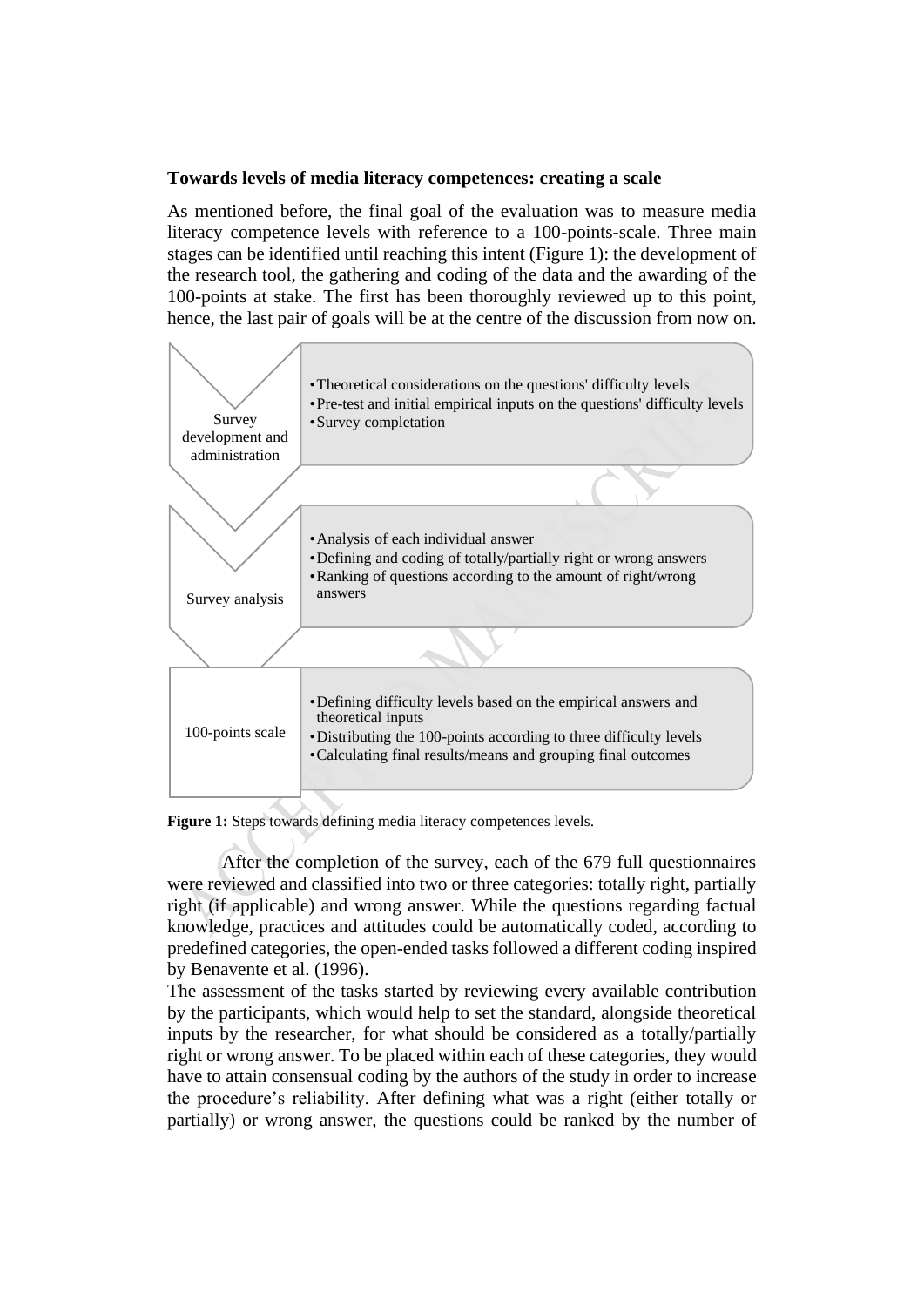## **Towards levels of media literacy competences: creating a scale**

As mentioned before, the final goal of the evaluation was to measure media literacy competence levels with reference to a 100-points-scale. Three main stages can be identified until reaching this intent (Figure 1): the development of the research tool, the gathering and coding of the data and the awarding of the 100-points at stake. The first has been thoroughly reviewed up to this point, hence, the last pair of goals will be at the centre of the discussion from now on.



**Figure 1:** Steps towards defining media literacy competences levels.

After the completion of the survey, each of the 679 full questionnaires were reviewed and classified into two or three categories: totally right, partially right (if applicable) and wrong answer. While the questions regarding factual knowledge, practices and attitudes could be automatically coded, according to predefined categories, the open-ended tasks followed a different coding inspired by Benavente et al. (1996).

The assessment of the tasks started by reviewing every available contribution by the participants, which would help to set the standard, alongside theoretical inputs by the researcher, for what should be considered as a totally/partially right or wrong answer. To be placed within each of these categories, they would have to attain consensual coding by the authors of the study in order to increase the procedure's reliability. After defining what was a right (either totally or partially) or wrong answer, the questions could be ranked by the number of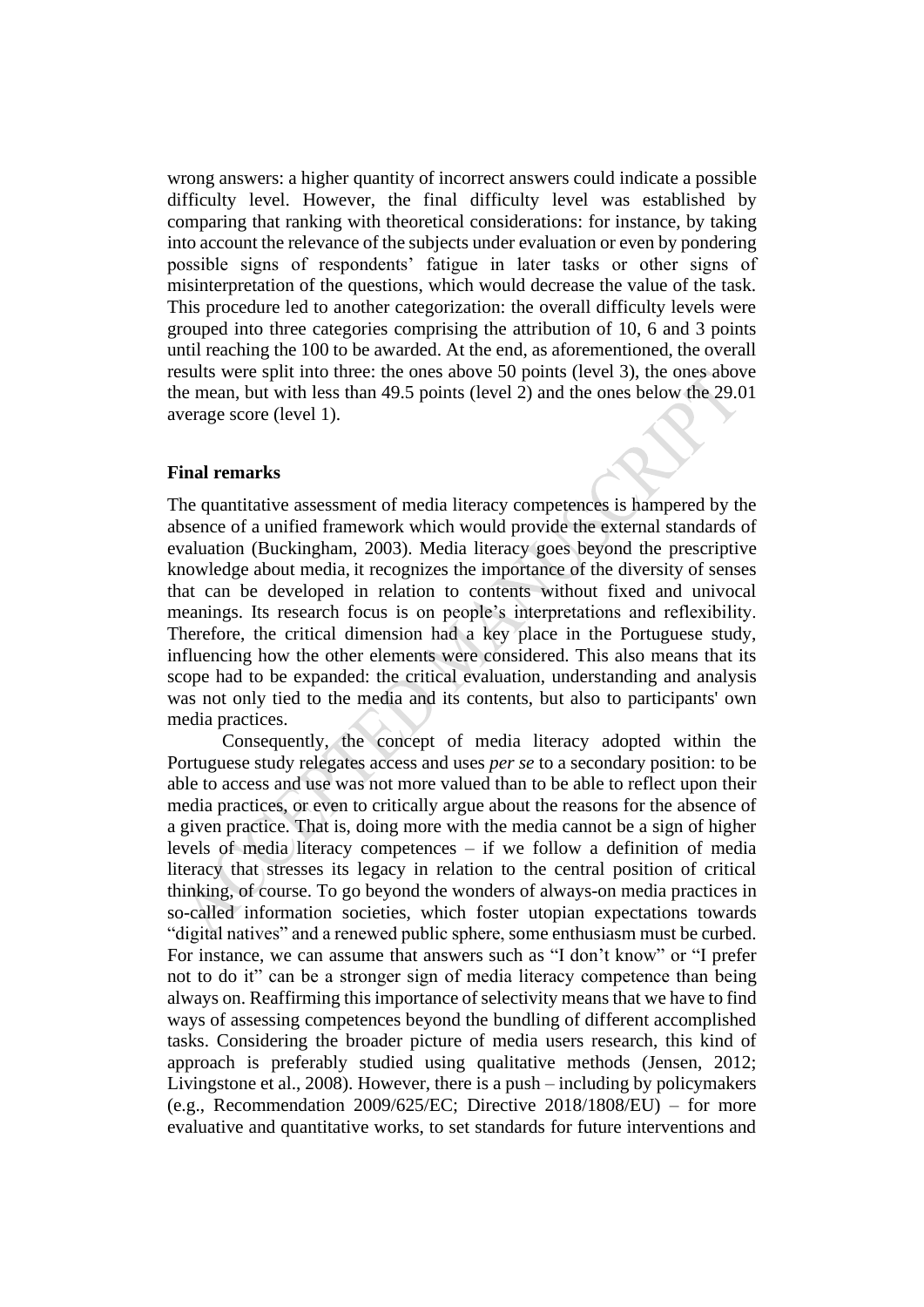wrong answers: a higher quantity of incorrect answers could indicate a possible difficulty level. However, the final difficulty level was established by comparing that ranking with theoretical considerations: for instance, by taking into account the relevance of the subjects under evaluation or even by pondering possible signs of respondents' fatigue in later tasks or other signs of misinterpretation of the questions, which would decrease the value of the task. This procedure led to another categorization: the overall difficulty levels were grouped into three categories comprising the attribution of 10, 6 and 3 points until reaching the 100 to be awarded. At the end, as aforementioned, the overall results were split into three: the ones above 50 points (level 3), the ones above the mean, but with less than 49.5 points (level 2) and the ones below the 29.01 average score (level 1).

## **Final remarks**

The quantitative assessment of media literacy competences is hampered by the absence of a unified framework which would provide the external standards of evaluation (Buckingham, 2003). Media literacy goes beyond the prescriptive knowledge about media, it recognizes the importance of the diversity of senses that can be developed in relation to contents without fixed and univocal meanings. Its research focus is on people's interpretations and reflexibility. Therefore, the critical dimension had a key place in the Portuguese study, influencing how the other elements were considered. This also means that its scope had to be expanded: the critical evaluation, understanding and analysis was not only tied to the media and its contents, but also to participants' own media practices.

Consequently, the concept of media literacy adopted within the Portuguese study relegates access and uses *per se* to a secondary position: to be able to access and use was not more valued than to be able to reflect upon their media practices, or even to critically argue about the reasons for the absence of a given practice. That is, doing more with the media cannot be a sign of higher levels of media literacy competences – if we follow a definition of media literacy that stresses its legacy in relation to the central position of critical thinking, of course. To go beyond the wonders of always-on media practices in so-called information societies, which foster utopian expectations towards "digital natives" and a renewed public sphere, some enthusiasm must be curbed. For instance, we can assume that answers such as "I don't know" or "I prefer not to do it" can be a stronger sign of media literacy competence than being always on. Reaffirming this importance of selectivity means that we have to find ways of assessing competences beyond the bundling of different accomplished tasks. Considering the broader picture of media users research, this kind of approach is preferably studied using qualitative methods (Jensen, 2012; Livingstone et al., 2008). However, there is a push – including by policymakers (e.g., Recommendation 2009/625/EC; Directive  $2018/1808/EU$ ) – for more evaluative and quantitative works, to set standards for future interventions and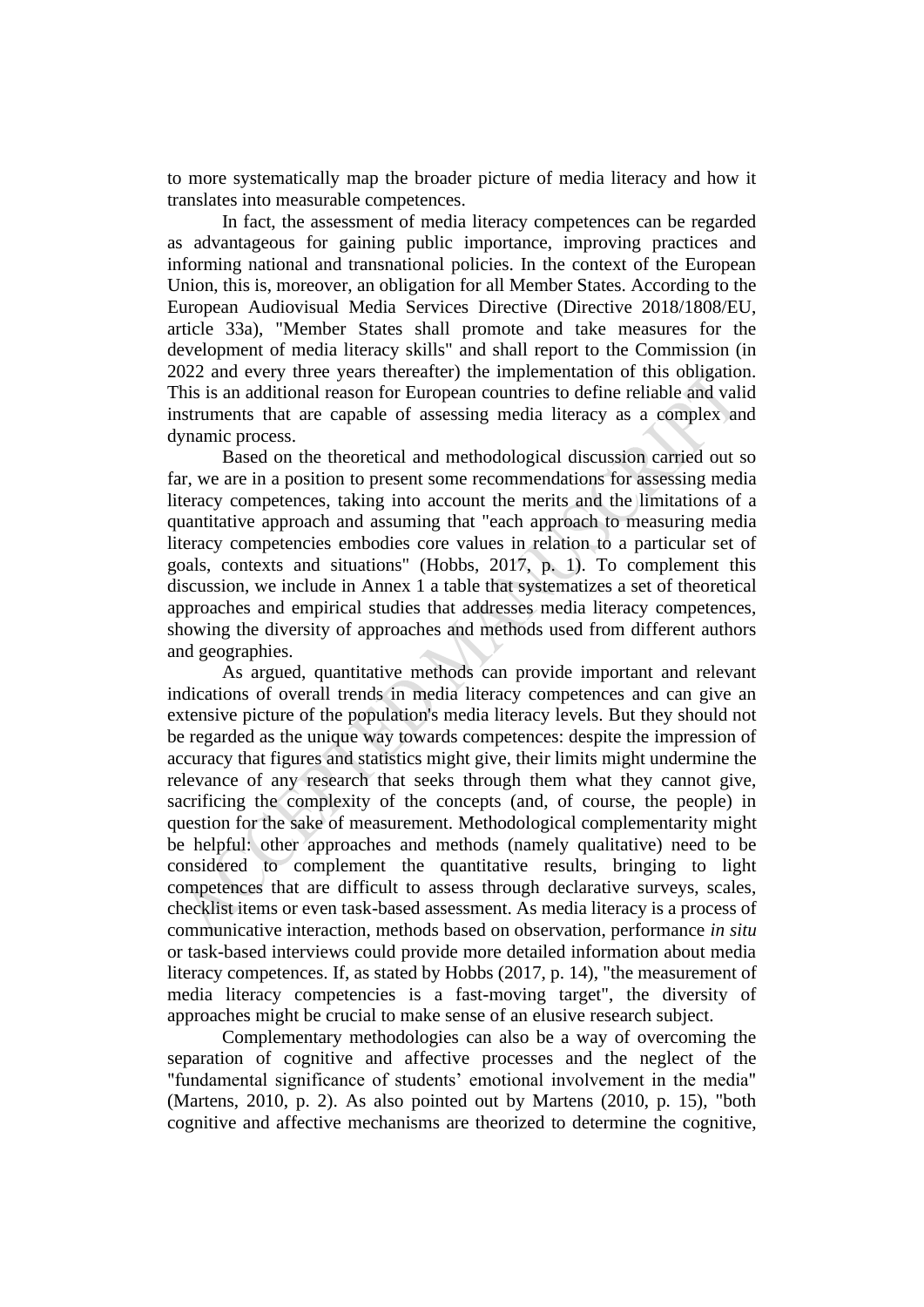to more systematically map the broader picture of media literacy and how it translates into measurable competences.

In fact, the assessment of media literacy competences can be regarded as advantageous for gaining public importance, improving practices and informing national and transnational policies. In the context of the European Union, this is, moreover, an obligation for all Member States. According to the European Audiovisual Media Services Directive (Directive 2018/1808/EU, article 33a), "Member States shall promote and take measures for the development of media literacy skills" and shall report to the Commission (in 2022 and every three years thereafter) the implementation of this obligation. This is an additional reason for European countries to define reliable and valid instruments that are capable of assessing media literacy as a complex and dynamic process.

Based on the theoretical and methodological discussion carried out so far, we are in a position to present some recommendations for assessing media literacy competences, taking into account the merits and the limitations of a quantitative approach and assuming that "each approach to measuring media literacy competencies embodies core values in relation to a particular set of goals, contexts and situations" (Hobbs, 2017, p. 1). To complement this discussion, we include in Annex 1 a table that systematizes a set of theoretical approaches and empirical studies that addresses media literacy competences, showing the diversity of approaches and methods used from different authors and geographies.

As argued, quantitative methods can provide important and relevant indications of overall trends in media literacy competences and can give an extensive picture of the population's media literacy levels. But they should not be regarded as the unique way towards competences: despite the impression of accuracy that figures and statistics might give, their limits might undermine the relevance of any research that seeks through them what they cannot give, sacrificing the complexity of the concepts (and, of course, the people) in question for the sake of measurement. Methodological complementarity might be helpful: other approaches and methods (namely qualitative) need to be considered to complement the quantitative results, bringing to light competences that are difficult to assess through declarative surveys, scales, checklist items or even task-based assessment. As media literacy is a process of communicative interaction, methods based on observation, performance *in situ* or task-based interviews could provide more detailed information about media literacy competences. If, as stated by Hobbs (2017, p. 14), "the measurement of media literacy competencies is a fast-moving target", the diversity of approaches might be crucial to make sense of an elusive research subject.

Complementary methodologies can also be a way of overcoming the separation of cognitive and affective processes and the neglect of the "fundamental significance of students' emotional involvement in the media" (Martens, 2010, p. 2). As also pointed out by Martens (2010, p. 15), "both cognitive and affective mechanisms are theorized to determine the cognitive,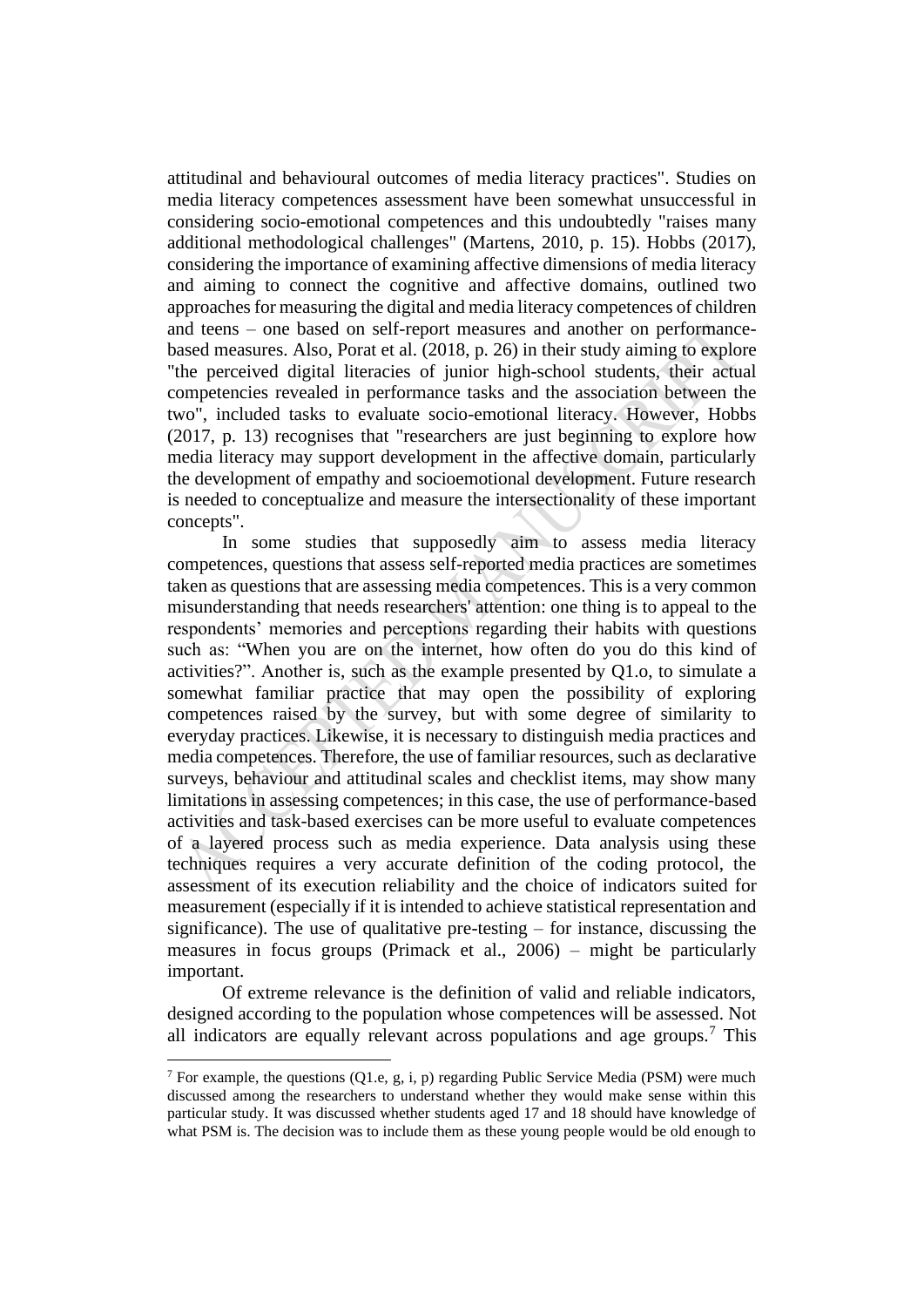attitudinal and behavioural outcomes of media literacy practices". Studies on media literacy competences assessment have been somewhat unsuccessful in considering socio-emotional competences and this undoubtedly "raises many additional methodological challenges" (Martens, 2010, p. 15). Hobbs (2017), considering the importance of examining affective dimensions of media literacy and aiming to connect the cognitive and affective domains, outlined two approaches for measuring the digital and media literacy competences of children and teens – one based on self-report measures and another on performancebased measures. Also, Porat et al. (2018, p. 26) in their study aiming to explore "the perceived digital literacies of junior high-school students, their actual competencies revealed in performance tasks and the association between the two", included tasks to evaluate socio-emotional literacy. However, Hobbs (2017, p. 13) recognises that "researchers are just beginning to explore how media literacy may support development in the affective domain, particularly the development of empathy and socioemotional development. Future research is needed to conceptualize and measure the intersectionality of these important concepts".

In some studies that supposedly aim to assess media literacy competences, questions that assess self-reported media practices are sometimes taken as questions that are assessing media competences. This is a very common misunderstanding that needs researchers' attention: one thing is to appeal to the respondents' memories and perceptions regarding their habits with questions such as: "When you are on the internet, how often do you do this kind of activities?". Another is, such as the example presented by Q1.o, to simulate a somewhat familiar practice that may open the possibility of exploring competences raised by the survey, but with some degree of similarity to everyday practices. Likewise, it is necessary to distinguish media practices and media competences. Therefore, the use of familiar resources, such as declarative surveys, behaviour and attitudinal scales and checklist items, may show many limitations in assessing competences; in this case, the use of performance-based activities and task-based exercises can be more useful to evaluate competences of a layered process such as media experience. Data analysis using these techniques requires a very accurate definition of the coding protocol, the assessment of its execution reliability and the choice of indicators suited for measurement (especially if it is intended to achieve statistical representation and significance). The use of qualitative pre-testing – for instance, discussing the measures in focus groups (Primack et al., 2006) – might be particularly important.

Of extreme relevance is the definition of valid and reliable indicators, designed according to the population whose competences will be assessed. Not all indicators are equally relevant across populations and age groups.<sup>7</sup> This

<sup>&</sup>lt;sup>7</sup> For example, the questions  $(Q1.e, g, i, p)$  regarding Public Service Media (PSM) were much discussed among the researchers to understand whether they would make sense within this particular study. It was discussed whether students aged 17 and 18 should have knowledge of what PSM is. The decision was to include them as these young people would be old enough to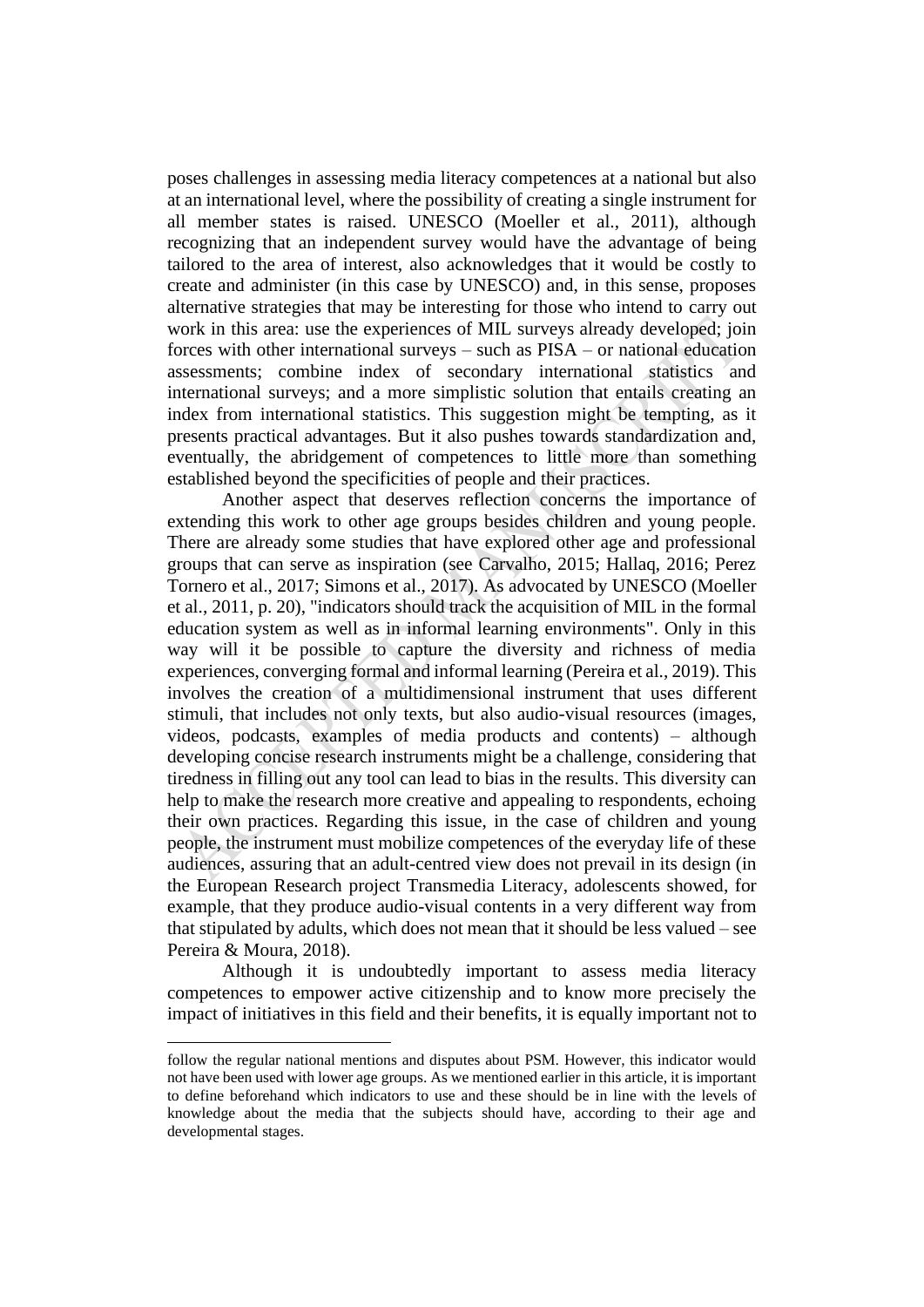poses challenges in assessing media literacy competences at a national but also at an international level, where the possibility of creating a single instrument for all member states is raised. UNESCO (Moeller et al., 2011), although recognizing that an independent survey would have the advantage of being tailored to the area of interest, also acknowledges that it would be costly to create and administer (in this case by UNESCO) and, in this sense, proposes alternative strategies that may be interesting for those who intend to carry out work in this area: use the experiences of MIL surveys already developed; join forces with other international surveys – such as PISA – or national education assessments; combine index of secondary international statistics and international surveys; and a more simplistic solution that entails creating an index from international statistics. This suggestion might be tempting, as it presents practical advantages. But it also pushes towards standardization and, eventually, the abridgement of competences to little more than something established beyond the specificities of people and their practices.

Another aspect that deserves reflection concerns the importance of extending this work to other age groups besides children and young people. There are already some studies that have explored other age and professional groups that can serve as inspiration (see Carvalho, 2015; Hallaq, 2016; Perez Tornero et al., 2017; Simons et al., 2017). As advocated by UNESCO (Moeller et al., 2011, p. 20), "indicators should track the acquisition of MIL in the formal education system as well as in informal learning environments". Only in this way will it be possible to capture the diversity and richness of media experiences, converging formal and informal learning (Pereira et al., 2019). This involves the creation of a multidimensional instrument that uses different stimuli, that includes not only texts, but also audio-visual resources (images, videos, podcasts, examples of media products and contents) – although developing concise research instruments might be a challenge, considering that tiredness in filling out any tool can lead to bias in the results. This diversity can help to make the research more creative and appealing to respondents, echoing their own practices. Regarding this issue, in the case of children and young people, the instrument must mobilize competences of the everyday life of these audiences, assuring that an adult-centred view does not prevail in its design (in the European Research project Transmedia Literacy, adolescents showed, for example, that they produce audio-visual contents in a very different way from that stipulated by adults, which does not mean that it should be less valued – see Pereira & Moura, 2018).

Although it is undoubtedly important to assess media literacy competences to empower active citizenship and to know more precisely the impact of initiatives in this field and their benefits, it is equally important not to

follow the regular national mentions and disputes about PSM. However, this indicator would not have been used with lower age groups. As we mentioned earlier in this article, it is important to define beforehand which indicators to use and these should be in line with the levels of knowledge about the media that the subjects should have, according to their age and developmental stages.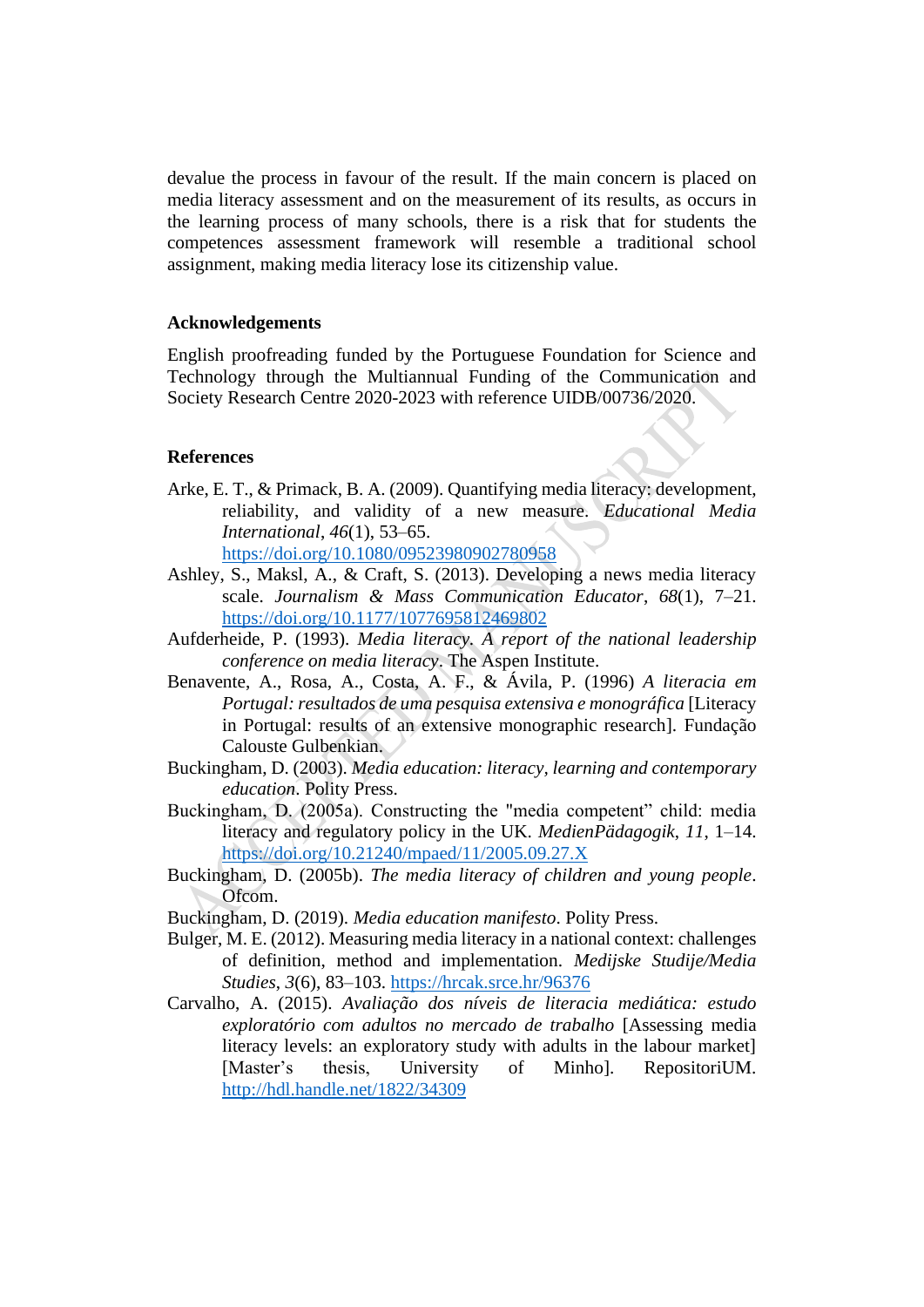devalue the process in favour of the result. If the main concern is placed on media literacy assessment and on the measurement of its results, as occurs in the learning process of many schools, there is a risk that for students the competences assessment framework will resemble a traditional school assignment, making media literacy lose its citizenship value.

## **Acknowledgements**

English proofreading funded by the Portuguese Foundation for Science and Technology through the Multiannual Funding of the Communication and Society Research Centre 2020-2023 with reference UIDB/00736/2020.

#### **References**

Arke, E. T., & Primack, B. A. (2009). Quantifying media literacy: development, reliability, and validity of a new measure. *Educational Media International*, *46*(1), 53–65.

<https://doi.org/10.1080/09523980902780958>

- Ashley, S., Maksl, A., & Craft, S. (2013). Developing a news media literacy scale. *Journalism & Mass Communication Educator*, *68*(1), 7–21. <https://doi.org/10.1177/1077695812469802>
- Aufderheide, P. (1993). *Media literacy. A report of the national leadership conference on media literacy*. The Aspen Institute.
- Benavente, A., Rosa, A., Costa, A. F., & Ávila, P. (1996) *A literacia em Portugal: resultados de uma pesquisa extensiva e monográfica* [Literacy in Portugal: results of an extensive monographic research]. Fundação Calouste Gulbenkian.
- Buckingham, D. (2003). *Media education: literacy, learning and contemporary education*. Polity Press.
- Buckingham, D. (2005a). Constructing the "media competent" child: media literacy and regulatory policy in the UK. *MedienPädagogik*, *11*, 1–14. <https://doi.org/10.21240/mpaed/11/2005.09.27.X>
- Buckingham, D. (2005b). *The media literacy of children and young people*. Ofcom.
- Buckingham, D. (2019). *Media education manifesto*. Polity Press.
- Bulger, M. E. (2012). Measuring media literacy in a national context: challenges of definition, method and implementation. *Medijske Studije/Media Studies*, *3*(6), 83–103.<https://hrcak.srce.hr/96376>
- Carvalho, A. (2015). *Avaliação dos níveis de literacia mediática: estudo exploratório com adultos no mercado de trabalho* [Assessing media literacy levels: an exploratory study with adults in the labour market] [Master's thesis, University of Minho]. RepositoriUM. <http://hdl.handle.net/1822/34309>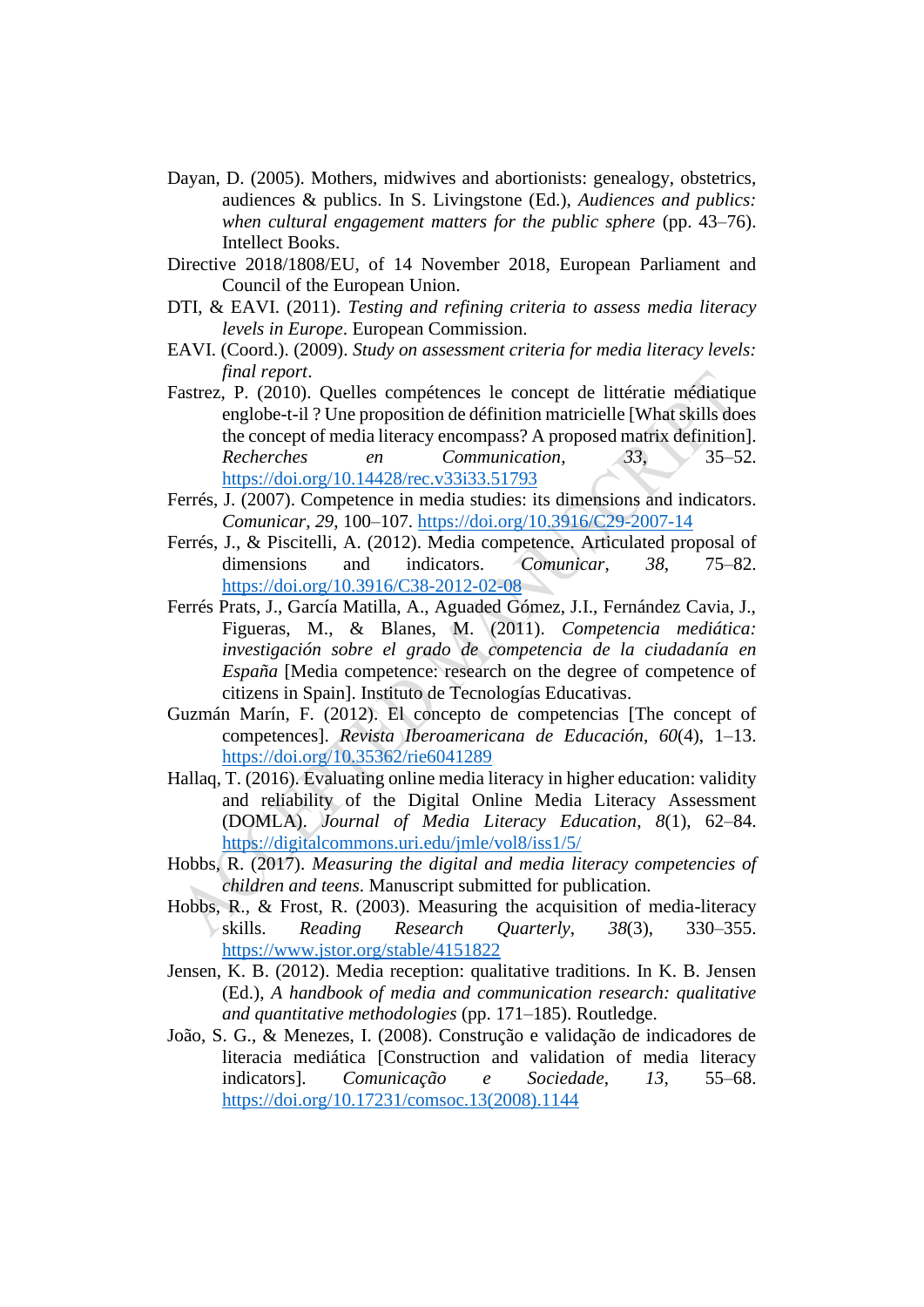- Dayan, D. (2005). Mothers, midwives and abortionists: genealogy, obstetrics, audiences & publics. In S. Livingstone (Ed.), *Audiences and publics: when cultural engagement matters for the public sphere* (pp. 43–76). Intellect Books.
- Directive 2018/1808/EU, of 14 November 2018, European Parliament and Council of the European Union.
- DTI, & EAVI. (2011). *Testing and refining criteria to assess media literacy levels in Europe*. European Commission.
- EAVI. (Coord.). (2009). *Study on assessment criteria for media literacy levels: final report*.
- Fastrez, P. (2010). Quelles compétences le concept de littératie médiatique englobe-t-il ? Une proposition de définition matricielle [What skills does the concept of media literacy encompass? A proposed matrix definition]. *Recherches en Communication*, *33*, 35–52. <https://doi.org/10.14428/rec.v33i33.51793>
- Ferrés, J. (2007). Competence in media studies: its dimensions and indicators. *Comunicar*, *29*, 100–107.<https://doi.org/10.3916/C29-2007-14>
- Ferrés, J., & Piscitelli, A. (2012). Media competence. Articulated proposal of dimensions and indicators. *Comunicar*, *38*, 75–82. <https://doi.org/10.3916/C38-2012-02-08>
- Ferrés Prats, J., García Matilla, A., Aguaded Gómez, J.I., Fernández Cavia, J., Figueras, M., & Blanes, M. (2011). *Competencia mediática: investigación sobre el grado de competencia de la ciudadanía en España* [Media competence: research on the degree of competence of citizens in Spain]. Instituto de Tecnologías Educativas.
- Guzmán Marín, F. (2012). El concepto de competencias [The concept of competences]. *Revista Iberoamericana de Educación*, *60*(4), 1–13. <https://doi.org/10.35362/rie6041289>
- Hallaq, T. (2016). Evaluating online media literacy in higher education: validity and reliability of the Digital Online Media Literacy Assessment (DOMLA). *Journal of Media Literacy Education*, *8*(1), 62–84. <https://digitalcommons.uri.edu/jmle/vol8/iss1/5/>
- Hobbs, R. (2017). *Measuring the digital and media literacy competencies of children and teens*. Manuscript submitted for publication.
- Hobbs, R., & Frost, R. (2003). Measuring the acquisition of media-literacy skills. *Reading Research Quarterly*, *38*(3), 330–355. <https://www.jstor.org/stable/4151822>
- Jensen, K. B. (2012). Media reception: qualitative traditions. In K. B. Jensen (Ed.), *A handbook of media and communication research: qualitative and quantitative methodologies* (pp. 171–185). Routledge.
- João, S. G., & Menezes, I. (2008). Construção e validação de indicadores de literacia mediática [Construction and validation of media literacy indicators]. *Comunicação e Sociedade*, *13*, 55–68. [https://doi.org/10.17231/comsoc.13\(2008\).1144](https://doi.org/10.17231/comsoc.13(2008).1144)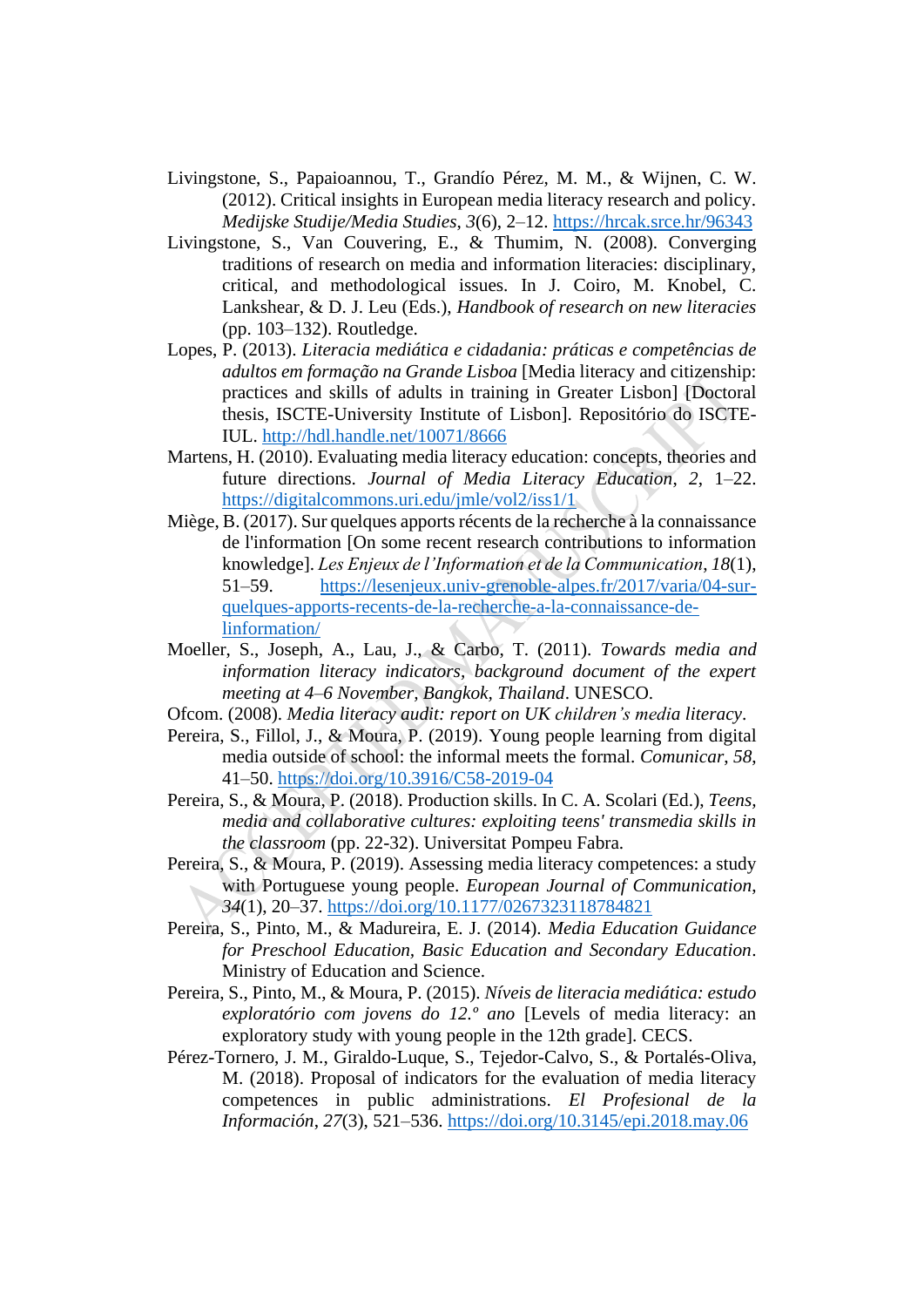- Livingstone, S., Papaioannou, T., Grandío Pérez, M. M., & Wijnen, C. W. (2012). Critical insights in European media literacy research and policy. *Medijske Studije/Media Studies*, *3*(6), 2–12.<https://hrcak.srce.hr/96343>
- Livingstone, S., Van Couvering, E., & Thumim, N. (2008). Converging traditions of research on media and information literacies: disciplinary, critical, and methodological issues. In J. Coiro, M. Knobel, C. Lankshear, & D. J. Leu (Eds.), *Handbook of research on new literacies* (pp. 103–132). Routledge.
- Lopes, P. (2013). *Literacia mediática e cidadania: práticas e competências de adultos em formação na Grande Lisboa* [Media literacy and citizenship: practices and skills of adults in training in Greater Lisbon] [Doctoral thesis, ISCTE-University Institute of Lisbon]. Repositório do ISCTE-IUL.<http://hdl.handle.net/10071/8666>
- Martens, H. (2010). Evaluating media literacy education: concepts, theories and future directions. *Journal of Media Literacy Education*, *2*, 1–22. <https://digitalcommons.uri.edu/jmle/vol2/iss1/1>
- Miège, B. (2017). Sur quelques apports récents de la recherche à la connaissance de l'information [On some recent research contributions to information knowledge]. *Les Enjeux de l'Information et de la Communication*, *18*(1), 51–59. [https://lesenjeux.univ-grenoble-alpes.fr/2017/varia/04-sur](https://lesenjeux.univ-grenoble-alpes.fr/2017/varia/04-sur-quelques-apports-recents-de-la-recherche-a-la-connaissance-de-linformation/)[quelques-apports-recents-de-la-recherche-a-la-connaissance-de](https://lesenjeux.univ-grenoble-alpes.fr/2017/varia/04-sur-quelques-apports-recents-de-la-recherche-a-la-connaissance-de-linformation/)[linformation/](https://lesenjeux.univ-grenoble-alpes.fr/2017/varia/04-sur-quelques-apports-recents-de-la-recherche-a-la-connaissance-de-linformation/)
- Moeller, S., Joseph, A., Lau, J., & Carbo, T. (2011). *Towards media and information literacy indicators, background document of the expert meeting at 4*–*6 November, Bangkok, Thailand*. UNESCO.
- Ofcom. (2008). *Media literacy audit: report on UK children's media literacy*.
- Pereira, S., Fillol, J., & Moura, P. (2019). Young people learning from digital media outside of school: the informal meets the formal. *Comunicar*, *58*, 41–50.<https://doi.org/10.3916/C58-2019-04>
- Pereira, S., & Moura, P. (2018). Production skills. In C. A. Scolari (Ed.), *Teens, media and collaborative cultures: exploiting teens' transmedia skills in the classroom* (pp. 22-32). Universitat Pompeu Fabra.
- Pereira, S., & Moura, P. (2019). Assessing media literacy competences: a study with Portuguese young people. *European Journal of Communication*, *34*(1), 20–37.<https://doi.org/10.1177/0267323118784821>
- Pereira, S., Pinto, M., & Madureira, E. J. (2014). *Media Education Guidance for Preschool Education, Basic Education and Secondary Education*. Ministry of Education and Science.
- Pereira, S., Pinto, M., & Moura, P. (2015). *Níveis de literacia mediática: estudo exploratório com jovens do 12.º ano* [Levels of media literacy: an exploratory study with young people in the 12th grade]. CECS.
- Pérez-Tornero, J. M., Giraldo-Luque, S., Tejedor-Calvo, S., & Portalés-Oliva, M. (2018). Proposal of indicators for the evaluation of media literacy competences in public administrations. *El Profesional de la Información*, *27*(3), 521–536.<https://doi.org/10.3145/epi.2018.may.06>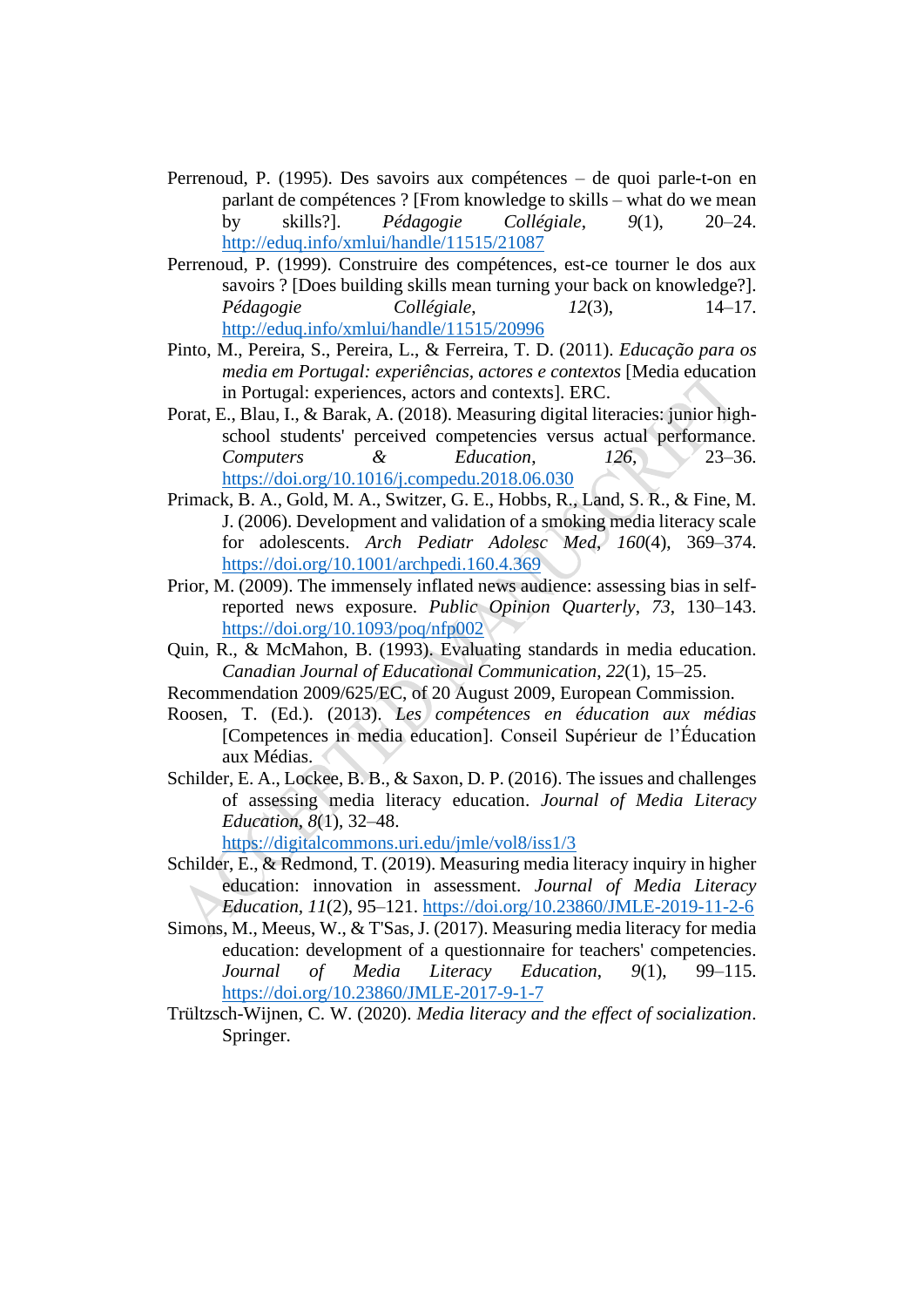- Perrenoud, P. (1995). Des savoirs aux compétences de quoi parle-t-on en parlant de compétences ? [From knowledge to skills – what do we mean by skills?]. *Pédagogie Collégiale*, *9*(1), 20–24. <http://eduq.info/xmlui/handle/11515/21087>
- Perrenoud, P. (1999). Construire des compétences, est-ce tourner le dos aux savoirs ? [Does building skills mean turning your back on knowledge?]. *Pédagogie Collégiale*, *12*(3), 14–17. <http://eduq.info/xmlui/handle/11515/20996>
- Pinto, M., Pereira, S., Pereira, L., & Ferreira, T. D. (2011). *Educação para os media em Portugal: experiências, actores e contextos* [Media education in Portugal: experiences, actors and contexts]. ERC.
- Porat, E., Blau, I., & Barak, A. (2018). Measuring digital literacies: junior highschool students' perceived competencies versus actual performance. *Computers & Education*, *126*, 23–36. <https://doi.org/10.1016/j.compedu.2018.06.030>
- Primack, B. A., Gold, M. A., Switzer, G. E., Hobbs, R., Land, S. R., & Fine, M. J. (2006). Development and validation of a smoking media literacy scale for adolescents. *Arch Pediatr Adolesc Med*, *160*(4), 369–374. <https://doi.org/10.1001/archpedi.160.4.369>
- Prior, M. (2009). The immensely inflated news audience: assessing bias in selfreported news exposure. *Public Opinion Quarterly*, *73*, 130–143. <https://doi.org/10.1093/poq/nfp002>
- Quin, R., & McMahon, B. (1993). Evaluating standards in media education. *Canadian Journal of Educational Communication*, *22*(1), 15–25.
- Recommendation 2009/625/EC, of 20 August 2009, European Commission.
- Roosen, T. (Ed.). (2013). *Les compétences en éducation aux médias* [Competences in media education]. Conseil Supérieur de l'Éducation aux Médias.
- Schilder, E. A., Lockee, B. B., & Saxon, D. P. (2016). The issues and challenges of assessing media literacy education. *Journal of Media Literacy Education, 8*(1), 32–48.

<https://digitalcommons.uri.edu/jmle/vol8/iss1/3>

- Schilder, E., & Redmond, T. (2019). Measuring media literacy inquiry in higher education: innovation in assessment. *Journal of Media Literacy Education, 11*(2), 95–121.<https://doi.org/10.23860/JMLE-2019-11-2-6>
- Simons, M., Meeus, W., & T'Sas, J. (2017). Measuring media literacy for media education: development of a questionnaire for teachers' competencies. *Journal of Media Literacy Education*, *9*(1), 99–115. <https://doi.org/10.23860/JMLE-2017-9-1-7>
- Trültzsch-Wijnen, C. W. (2020). *Media literacy and the effect of socialization*. Springer.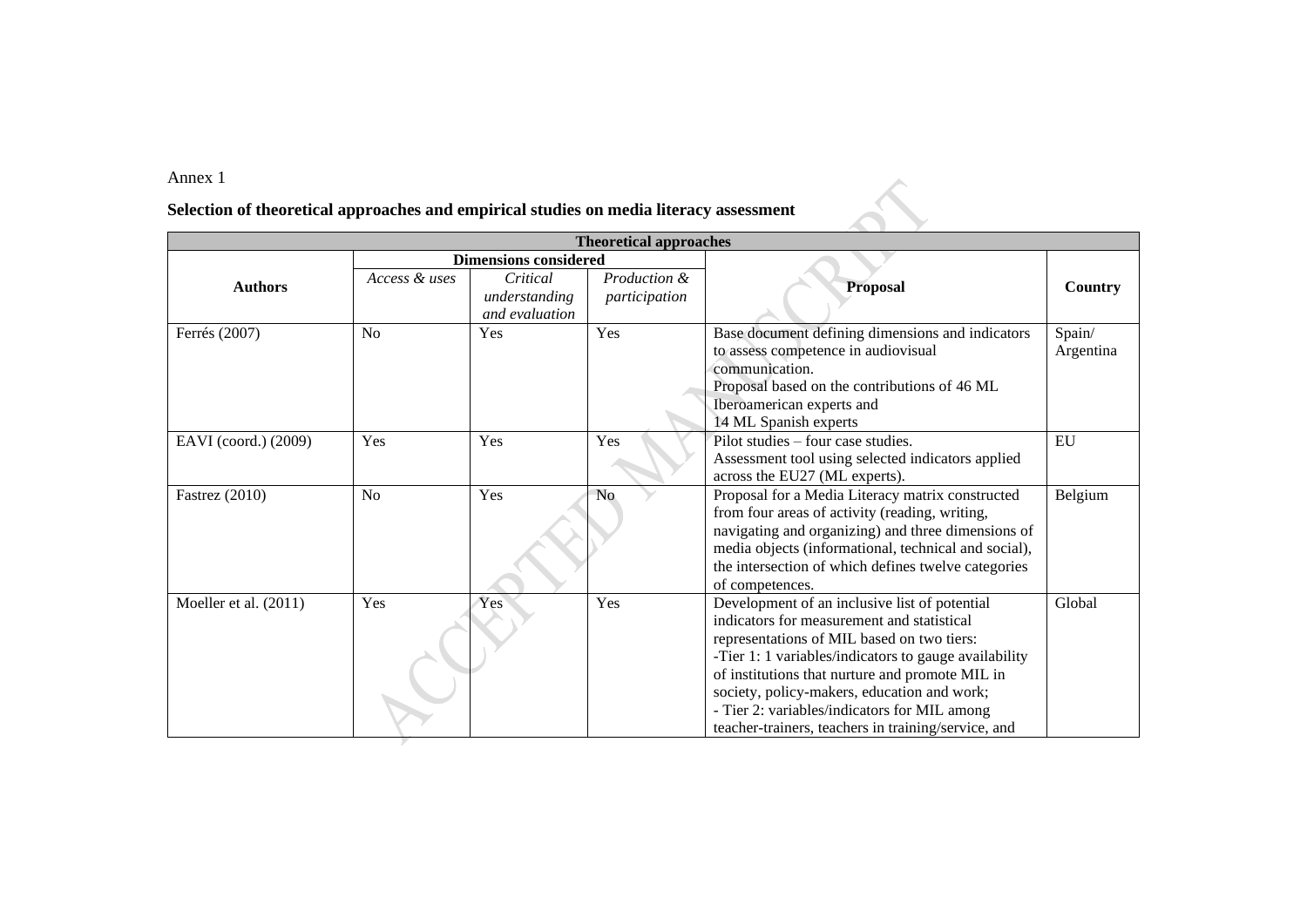## Annex 1

## **Selection of theoretical approaches and empirical studies on media literacy assessment**

|                       |               |                                             | <b>Theoretical approaches</b> |                                                                                                                                                                                                                                                                                                                                                                                                             |                     |
|-----------------------|---------------|---------------------------------------------|-------------------------------|-------------------------------------------------------------------------------------------------------------------------------------------------------------------------------------------------------------------------------------------------------------------------------------------------------------------------------------------------------------------------------------------------------------|---------------------|
|                       |               | <b>Dimensions considered</b>                |                               |                                                                                                                                                                                                                                                                                                                                                                                                             |                     |
| <b>Authors</b>        | Access & uses | Critical<br>understanding<br>and evaluation | Production &<br>participation | <b>Proposal</b>                                                                                                                                                                                                                                                                                                                                                                                             | Country             |
| Ferrés (2007)         | No            | Yes                                         | Yes                           | Base document defining dimensions and indicators<br>to assess competence in audiovisual<br>communication.<br>Proposal based on the contributions of 46 ML<br>Iberoamerican experts and<br>14 ML Spanish experts                                                                                                                                                                                             | Spain/<br>Argentina |
| EAVI (coord.) (2009)  | Yes           | Yes                                         | Yes                           | Pilot studies – four case studies.<br>Assessment tool using selected indicators applied<br>across the EU27 (ML experts).                                                                                                                                                                                                                                                                                    | EU                  |
| <b>Fastrez</b> (2010) | No            | Yes                                         | N <sub>o</sub>                | Proposal for a Media Literacy matrix constructed<br>from four areas of activity (reading, writing,<br>navigating and organizing) and three dimensions of<br>media objects (informational, technical and social),<br>the intersection of which defines twelve categories<br>of competences.                                                                                                                  | Belgium             |
| Moeller et al. (2011) | Yes           | Yes                                         | Yes                           | Development of an inclusive list of potential<br>indicators for measurement and statistical<br>representations of MIL based on two tiers:<br>-Tier 1: 1 variables/indicators to gauge availability<br>of institutions that nurture and promote MIL in<br>society, policy-makers, education and work;<br>- Tier 2: variables/indicators for MIL among<br>teacher-trainers, teachers in training/service, and | Global              |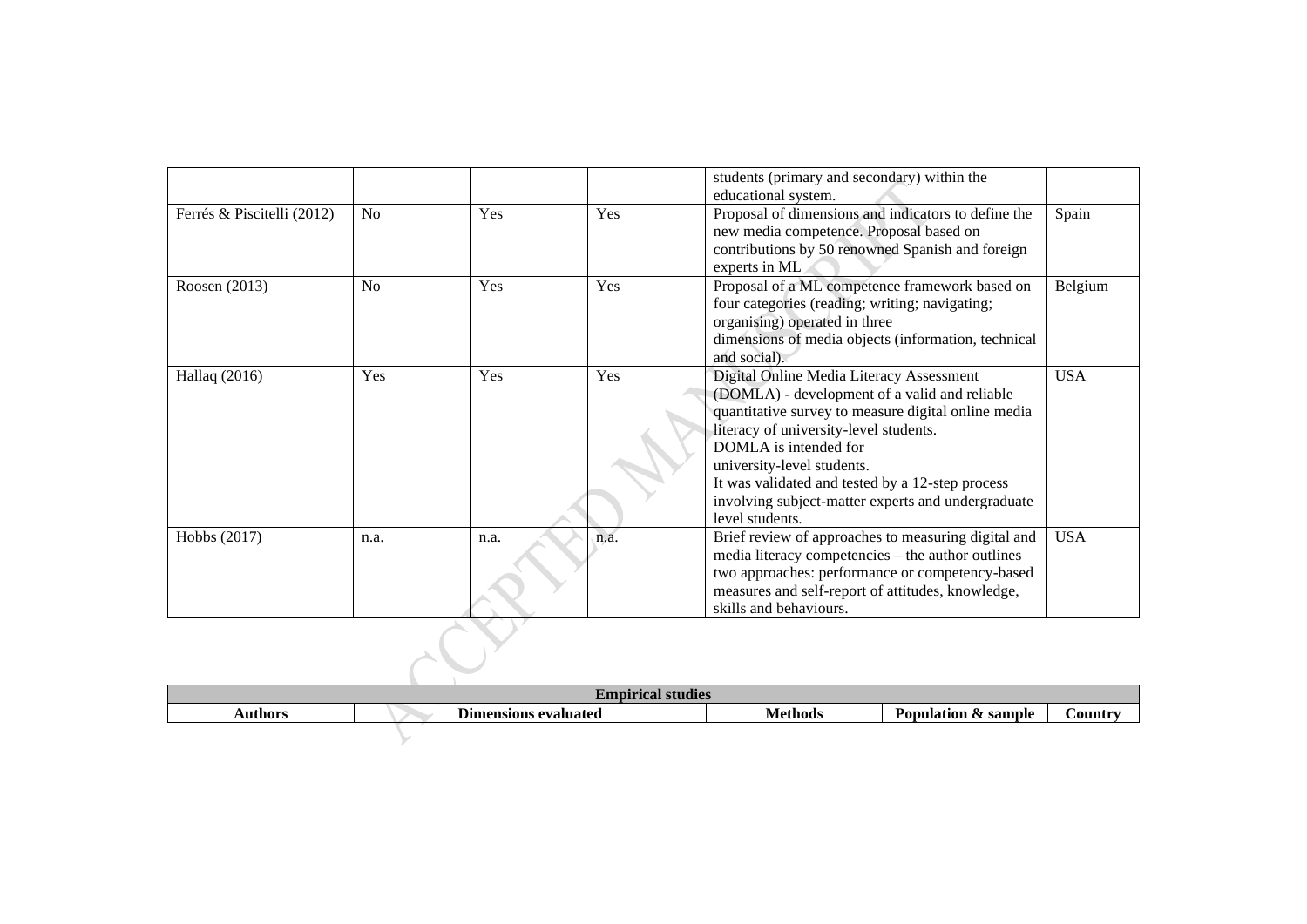|                            |                |      |      | students (primary and secondary) within the<br>educational system.                                                                                                                                                                                                                                                                                                             |            |
|----------------------------|----------------|------|------|--------------------------------------------------------------------------------------------------------------------------------------------------------------------------------------------------------------------------------------------------------------------------------------------------------------------------------------------------------------------------------|------------|
| Ferrés & Piscitelli (2012) | N <sub>o</sub> | Yes  | Yes  | Proposal of dimensions and indicators to define the<br>new media competence. Proposal based on<br>contributions by 50 renowned Spanish and foreign<br>experts in ML                                                                                                                                                                                                            | Spain      |
| Roosen (2013)              | N <sub>o</sub> | Yes  | Yes  | Proposal of a ML competence framework based on<br>four categories (reading; writing; navigating;<br>organising) operated in three<br>dimensions of media objects (information, technical<br>and social).                                                                                                                                                                       | Belgium    |
| Hallaq (2016)              | Yes            | Yes  | Yes  | Digital Online Media Literacy Assessment<br>(DOMLA) - development of a valid and reliable<br>quantitative survey to measure digital online media<br>literacy of university-level students.<br>DOMLA is intended for<br>university-level students.<br>It was validated and tested by a 12-step process<br>involving subject-matter experts and undergraduate<br>level students. | <b>USA</b> |
| Hobbs (2017)               | n.a.           | n.a. | n.a. | Brief review of approaches to measuring digital and<br>media literacy competencies – the author outlines<br>two approaches: performance or competency-based<br>measures and self-report of attitudes, knowledge,<br>skills and behaviours.                                                                                                                                     | <b>USA</b> |

|                |                             |  | skills and behaviours. |                     |                |  |  |
|----------------|-----------------------------|--|------------------------|---------------------|----------------|--|--|
|                |                             |  |                        |                     |                |  |  |
|                | <b>Empirical studies</b>    |  |                        |                     |                |  |  |
| <b>Authors</b> | <b>Dimensions evaluated</b> |  | <b>Methods</b>         | Population & sample | <b>Country</b> |  |  |
|                |                             |  |                        |                     |                |  |  |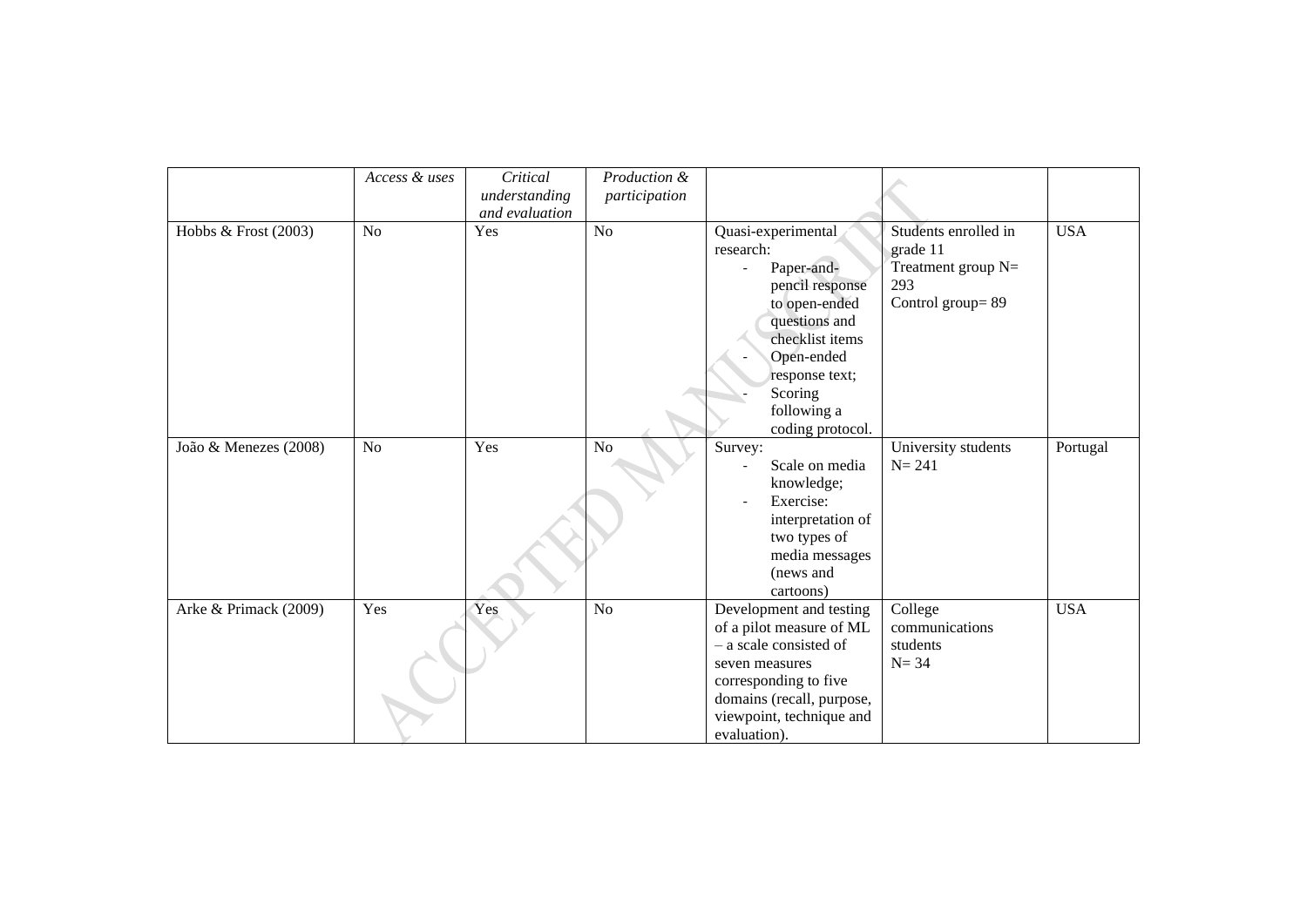|                       | Access & uses | Critical<br>understanding<br>and evaluation | Production &<br>participation |                                                                                                                                                                                                                                 |                                                                                     |            |
|-----------------------|---------------|---------------------------------------------|-------------------------------|---------------------------------------------------------------------------------------------------------------------------------------------------------------------------------------------------------------------------------|-------------------------------------------------------------------------------------|------------|
| Hobbs & Frost (2003)  | No            | Yes                                         | No                            | Quasi-experimental<br>research:<br>Paper-and-<br>$\overline{\phantom{a}}$<br>pencil response<br>to open-ended<br>questions and<br>checklist items<br>Open-ended<br>response text;<br>Scoring<br>following a<br>coding protocol. | Students enrolled in<br>grade 11<br>Treatment group $N=$<br>293<br>Control group=89 | <b>USA</b> |
| João & Menezes (2008) | No            | Yes                                         | No                            | Survey:<br>Scale on media<br>knowledge;<br>Exercise:<br>interpretation of<br>two types of<br>media messages<br>(news and<br>cartoons)                                                                                           | University students<br>$N = 241$                                                    | Portugal   |
| Arke & Primack (2009) | Yes           | Yes                                         | No                            | Development and testing<br>of a pilot measure of ML<br>- a scale consisted of<br>seven measures<br>corresponding to five<br>domains (recall, purpose,<br>viewpoint, technique and<br>evaluation).                               | College<br>communications<br>students<br>$N = 34$                                   | <b>USA</b> |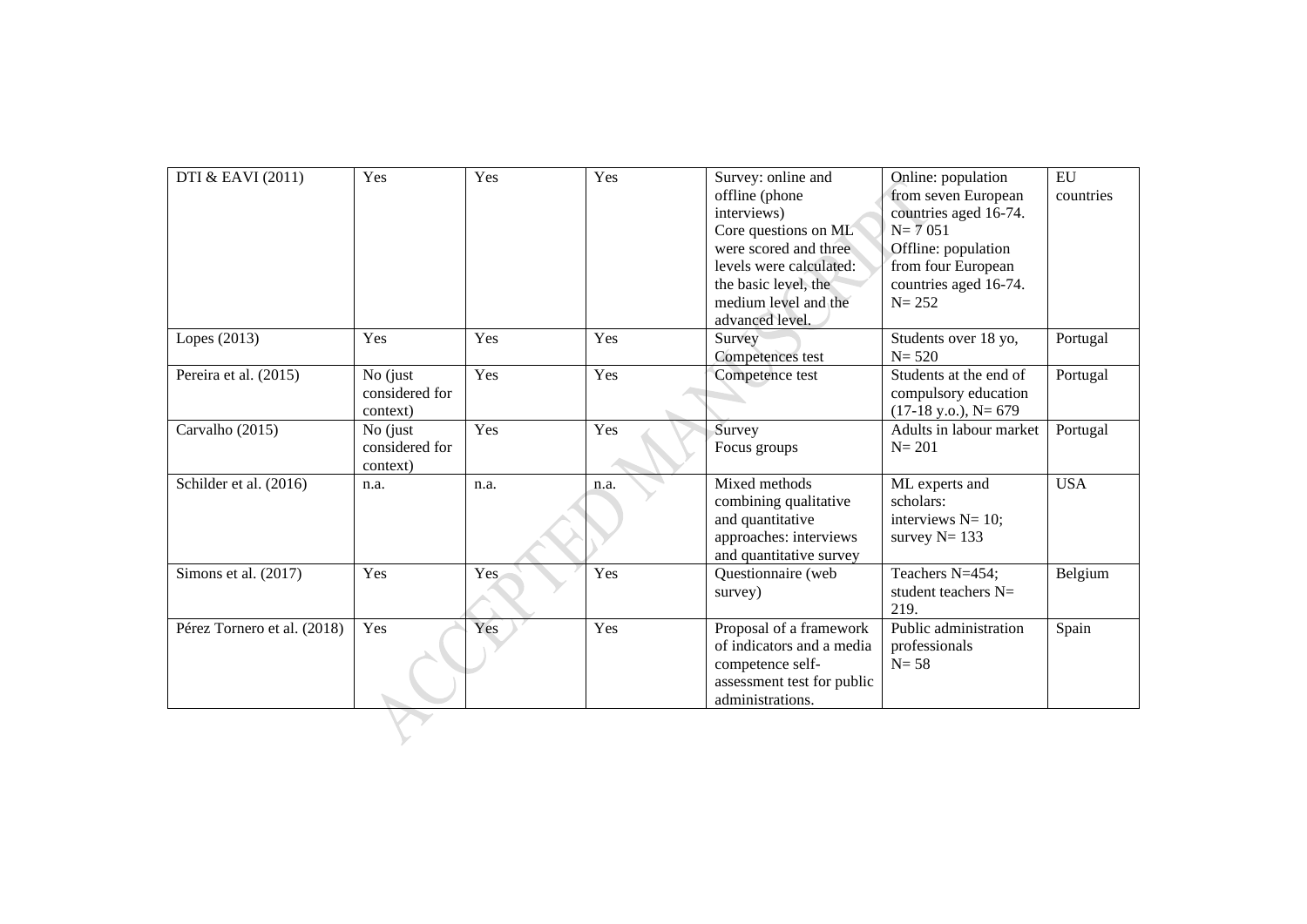| DTI & EAVI (2011)           | Yes            | Yes  | Yes  | Survey: online and                                   | Online: population            | <b>EU</b>  |
|-----------------------------|----------------|------|------|------------------------------------------------------|-------------------------------|------------|
|                             |                |      |      | offline (phone                                       | from seven European           | countries  |
|                             |                |      |      | interviews)                                          | countries aged 16-74.         |            |
|                             |                |      |      | Core questions on ML                                 | $N = 7051$                    |            |
|                             |                |      |      | were scored and three                                | Offline: population           |            |
|                             |                |      |      | levels were calculated:                              | from four European            |            |
|                             |                |      |      | the basic level, the                                 | countries aged 16-74.         |            |
|                             |                |      |      | medium level and the                                 | $N = 252$                     |            |
|                             |                |      |      | advanced level.                                      |                               |            |
| Lopes (2013)                | Yes            | Yes  | Yes  | Survey                                               | Students over 18 yo,          | Portugal   |
|                             |                |      |      | Competences test                                     | $N = 520$                     |            |
| Pereira et al. (2015)       | No (just       | Yes  | Yes  | Competence test                                      | Students at the end of        | Portugal   |
|                             | considered for |      |      |                                                      | compulsory education          |            |
|                             | context)       |      |      |                                                      | $(17-18 \text{ y.o.}), N=679$ |            |
| Carvalho (2015)             | $No$ (just     | Yes  | Yes  | Survey                                               | Adults in labour market       | Portugal   |
|                             | considered for |      |      | Focus groups                                         | $N = 201$                     |            |
|                             | context)       |      |      |                                                      |                               |            |
| Schilder et al. (2016)      | n.a.           | n.a. | n.a. | Mixed methods                                        | ML experts and                | <b>USA</b> |
|                             |                |      |      | combining qualitative                                | scholars:                     |            |
|                             |                |      |      | and quantitative                                     | interviews $N=10$ ;           |            |
|                             |                |      |      | approaches: interviews                               | survey $N = 133$              |            |
|                             |                |      |      | and quantitative survey                              |                               |            |
| Simons et al. $(2017)$      | Yes            | Yes. | Yes  | Questionnaire (web                                   | Teachers N=454;               | Belgium    |
|                             |                |      |      | survey)                                              | student teachers N=           |            |
|                             |                |      |      |                                                      | 219.<br>Public administration |            |
| Pérez Tornero et al. (2018) | Yes            | Yes  | Yes  | Proposal of a framework<br>of indicators and a media |                               | Spain      |
|                             |                |      |      |                                                      | professionals<br>$N = 58$     |            |
|                             |                |      |      | competence self-                                     |                               |            |
|                             |                |      |      | assessment test for public<br>administrations.       |                               |            |
|                             |                |      |      |                                                      |                               |            |
|                             |                |      |      |                                                      |                               |            |
|                             |                |      |      |                                                      |                               |            |